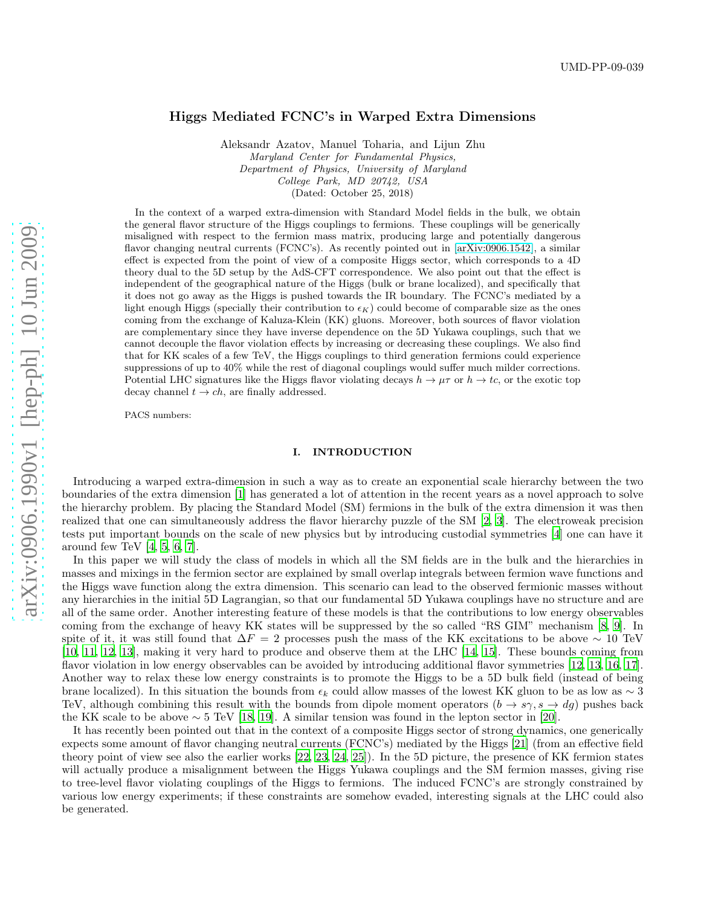# Higgs Mediated FCNC's in Warped Extra Dimensions

Aleksandr Azatov, Manuel Toharia, and Lijun Zhu Maryland Center for Fundamental Physics, Department of Physics, University of Maryland College Park, MD 20742, USA (Dated: October 25, 2018)

In the context of a warped extra-dimension with Standard Model fields in the bulk, we obtain the general flavor structure of the Higgs couplings to fermions. These couplings will be generically misaligned with respect to the fermion mass matrix, producing large and potentially dangerous flavor changing neutral currents (FCNC's). As recently pointed out in [\[arXiv:0906.1542\]](http://arxiv.org/abs/0906.1542), a similar effect is expected from the point of view of a composite Higgs sector, which corresponds to a 4D theory dual to the 5D setup by the AdS-CFT correspondence. We also point out that the effect is independent of the geographical nature of the Higgs (bulk or brane localized), and specifically that it does not go away as the Higgs is pushed towards the IR boundary. The FCNC's mediated by a light enough Higgs (specially their contribution to  $\epsilon_K$ ) could become of comparable size as the ones coming from the exchange of Kaluza-Klein (KK) gluons. Moreover, both sources of flavor violation are complementary since they have inverse dependence on the 5D Yukawa couplings, such that we cannot decouple the flavor violation effects by increasing or decreasing these couplings. We also find that for KK scales of a few TeV, the Higgs couplings to third generation fermions could experience suppressions of up to 40% while the rest of diagonal couplings would suffer much milder corrections. Potential LHC signatures like the Higgs flavor violating decays  $h \to \mu\tau$  or  $h \to tc$ , or the exotic top decay channel  $t \to ch$ , are finally addressed.

PACS numbers:

#### I. INTRODUCTION

Introducing a warped extra-dimension in such a way as to create an exponential scale hierarchy between the two boundaries of the extra dimension [\[1\]](#page-19-0) has generated a lot of attention in the recent years as a novel approach to solve the hierarchy problem. By placing the Standard Model (SM) fermions in the bulk of the extra dimension it was then realized that one can simultaneously address the flavor hierarchy puzzle of the SM [\[2,](#page-19-1) [3\]](#page-19-2). The electroweak precision tests put important bounds on the scale of new physics but by introducing custodial symmetries [\[4](#page-19-3)] one can have it around few TeV  $[4, 5, 6, 7]$  $[4, 5, 6, 7]$  $[4, 5, 6, 7]$  $[4, 5, 6, 7]$  $[4, 5, 6, 7]$  $[4, 5, 6, 7]$  $[4, 5, 6, 7]$ .

In this paper we will study the class of models in which all the SM fields are in the bulk and the hierarchies in masses and mixings in the fermion sector are explained by small overlap integrals between fermion wave functions and the Higgs wave function along the extra dimension. This scenario can lead to the observed fermionic masses without any hierarchies in the initial 5D Lagrangian, so that our fundamental 5D Yukawa couplings have no structure and are all of the same order. Another interesting feature of these models is that the contributions to low energy observables coming from the exchange of heavy KK states will be suppressed by the so called "RS GIM" mechanism [\[8,](#page-19-7) [9\]](#page-19-8). In spite of it, it was still found that  $\Delta F = 2$  processes push the mass of the KK excitations to be above ~ 10 TeV [\[10,](#page-19-9) [11](#page-19-10), [12,](#page-19-11) [13](#page-19-12)], making it very hard to produce and observe them at the LHC [\[14,](#page-19-13) [15](#page-19-14)]. These bounds coming from flavor violation in low energy observables can be avoided by introducing additional flavor symmetries [\[12,](#page-19-11) [13,](#page-19-12) [16,](#page-19-15) [17\]](#page-19-16). Another way to relax these low energy constraints is to promote the Higgs to be a 5D bulk field (instead of being brane localized). In this situation the bounds from  $\epsilon_k$  could allow masses of the lowest KK gluon to be as low as ∼ 3 TeV, although combining this result with the bounds from dipole moment operators  $(b \to s\gamma, s \to dg)$  pushes back the KK scale to be above  $\sim 5$  TeV [\[18,](#page-20-0) [19\]](#page-20-1). A similar tension was found in the lepton sector in [\[20](#page-20-2)].

It has recently been pointed out that in the context of a composite Higgs sector of strong dynamics, one generically expects some amount of flavor changing neutral currents (FCNC's) mediated by the Higgs [\[21\]](#page-20-3) (from an effective field theory point of view see also the earlier works [\[22,](#page-20-4) [23,](#page-20-5) [24](#page-20-6), [25\]](#page-20-7)). In the 5D picture, the presence of KK fermion states will actually produce a misalignment between the Higgs Yukawa couplings and the SM fermion masses, giving rise to tree-level flavor violating couplings of the Higgs to fermions. The induced FCNC's are strongly constrained by various low energy experiments; if these constraints are somehow evaded, interesting signals at the LHC could also be generated.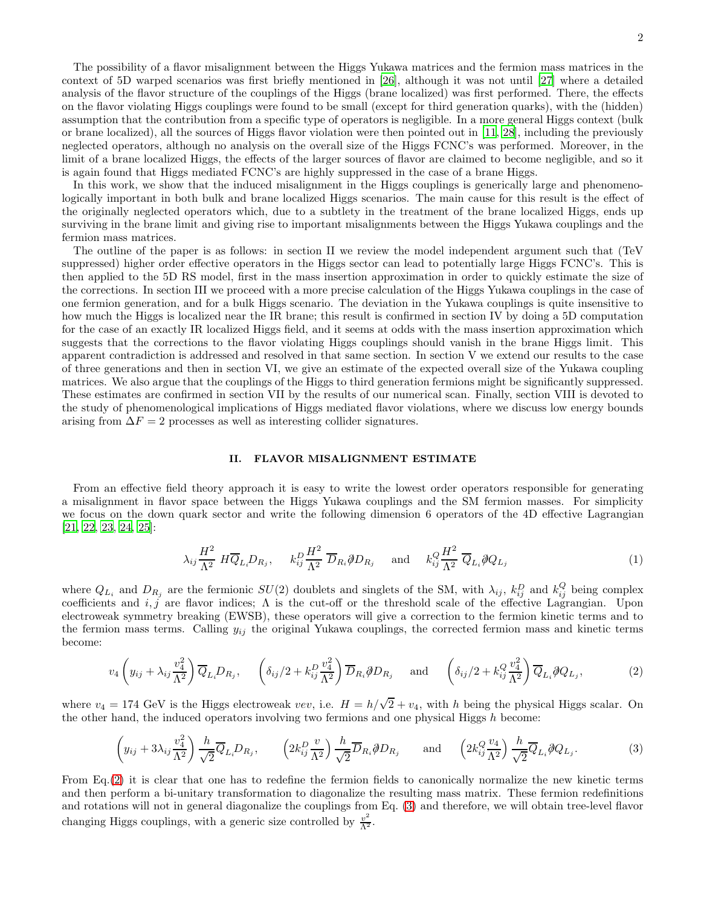The possibility of a flavor misalignment between the Higgs Yukawa matrices and the fermion mass matrices in the context of 5D warped scenarios was first briefly mentioned in [\[26\]](#page-20-8), although it was not until [\[27\]](#page-20-9) where a detailed analysis of the flavor structure of the couplings of the Higgs (brane localized) was first performed. There, the effects on the flavor violating Higgs couplings were found to be small (except for third generation quarks), with the (hidden) assumption that the contribution from a specific type of operators is negligible. In a more general Higgs context (bulk or brane localized), all the sources of Higgs flavor violation were then pointed out in [\[11,](#page-19-10) [28\]](#page-20-10), including the previously neglected operators, although no analysis on the overall size of the Higgs FCNC's was performed. Moreover, in the limit of a brane localized Higgs, the effects of the larger sources of flavor are claimed to become negligible, and so it is again found that Higgs mediated FCNC's are highly suppressed in the case of a brane Higgs.

In this work, we show that the induced misalignment in the Higgs couplings is generically large and phenomenologically important in both bulk and brane localized Higgs scenarios. The main cause for this result is the effect of the originally neglected operators which, due to a subtlety in the treatment of the brane localized Higgs, ends up surviving in the brane limit and giving rise to important misalignments between the Higgs Yukawa couplings and the fermion mass matrices.

The outline of the paper is as follows: in section II we review the model independent argument such that (TeV suppressed) higher order effective operators in the Higgs sector can lead to potentially large Higgs FCNC's. This is then applied to the 5D RS model, first in the mass insertion approximation in order to quickly estimate the size of the corrections. In section III we proceed with a more precise calculation of the Higgs Yukawa couplings in the case of one fermion generation, and for a bulk Higgs scenario. The deviation in the Yukawa couplings is quite insensitive to how much the Higgs is localized near the IR brane; this result is confirmed in section IV by doing a 5D computation for the case of an exactly IR localized Higgs field, and it seems at odds with the mass insertion approximation which suggests that the corrections to the flavor violating Higgs couplings should vanish in the brane Higgs limit. This apparent contradiction is addressed and resolved in that same section. In section V we extend our results to the case of three generations and then in section VI, we give an estimate of the expected overall size of the Yukawa coupling matrices. We also argue that the couplings of the Higgs to third generation fermions might be significantly suppressed. These estimates are confirmed in section VII by the results of our numerical scan. Finally, section VIII is devoted to the study of phenomenological implications of Higgs mediated flavor violations, where we discuss low energy bounds arising from  $\Delta F = 2$  processes as well as interesting collider signatures.

## <span id="page-1-2"></span>II. FLAVOR MISALIGNMENT ESTIMATE

From an effective field theory approach it is easy to write the lowest order operators responsible for generating a misalignment in flavor space between the Higgs Yukawa couplings and the SM fermion masses. For simplicity we focus on the down quark sector and write the following dimension 6 operators of the 4D effective Lagrangian [\[21,](#page-20-3) [22,](#page-20-4) [23,](#page-20-5) [24,](#page-20-6) [25\]](#page-20-7):

$$
\lambda_{ij}\frac{H^2}{\Lambda^2} H \overline{Q}_{L_i} D_{R_j}, \quad k_{ij}^D \frac{H^2}{\Lambda^2} \overline{D}_{R_i} \partial \hspace{-0.05cm}D_{R_j} \quad \text{and} \quad k_{ij}^Q \frac{H^2}{\Lambda^2} \overline{Q}_{L_i} \partial \hspace{-0.05cm}Q_{L_j} \tag{1}
$$

where  $Q_{L_i}$  and  $D_{R_j}$  are the fermionic  $SU(2)$  doublets and singlets of the SM, with  $\lambda_{ij}$ ,  $k_{ij}^D$  and  $k_{ij}^Q$  being complex coefficients and  $i, j$  are flavor indices;  $\Lambda$  is the cut-off or the threshold scale of the effective Lagrangian. Upon electroweak symmetry breaking (EWSB), these operators will give a correction to the fermion kinetic terms and to the fermion mass terms. Calling  $y_{ij}$  the original Yukawa couplings, the corrected fermion mass and kinetic terms become:

<span id="page-1-0"></span>
$$
v_4\left(y_{ij} + \lambda_{ij}\frac{v_4^2}{\Lambda^2}\right)\overline{Q}_{L_i}D_{R_j}, \quad \left(\delta_{ij}/2 + k_{ij}^D\frac{v_4^2}{\Lambda^2}\right)\overline{D}_{R_i}\partial\!\!\!/D_{R_j} \quad \text{and} \quad \left(\delta_{ij}/2 + k_{ij}^Q\frac{v_4^2}{\Lambda^2}\right)\overline{Q}_{L_i}\partial\!\!\!/Q_{L_j},\tag{2}
$$

where  $v_4 = 174 \text{ GeV}$  is the Higgs electroweak vev, i.e.  $H = h/\sqrt{2} + v_4$ , with h being the physical Higgs scalar. On the other hand, the induced operators involving two fermions and one physical Higgs h become:

<span id="page-1-1"></span>
$$
\left(y_{ij} + 3\lambda_{ij}\frac{v_4^2}{\Lambda^2}\right)\frac{h}{\sqrt{2}}\overline{Q}_{L_i}D_{R_j}, \qquad \left(2k_{ij}^D\frac{v}{\Lambda^2}\right)\frac{h}{\sqrt{2}}\overline{D}_{R_i}\partial/D_{R_j} \qquad \text{and} \qquad \left(2k_{ij}^Q\frac{v_4}{\Lambda^2}\right)\frac{h}{\sqrt{2}}\overline{Q}_{L_i}\partial Q_{L_j}.\tag{3}
$$

From Eq.[\(2\)](#page-1-0) it is clear that one has to redefine the fermion fields to canonically normalize the new kinetic terms and then perform a bi-unitary transformation to diagonalize the resulting mass matrix. These fermion redefinitions and rotations will not in general diagonalize the couplings from Eq. [\(3\)](#page-1-1) and therefore, we will obtain tree-level flavor changing Higgs couplings, with a generic size controlled by  $\frac{v^2}{\Lambda^2}$ .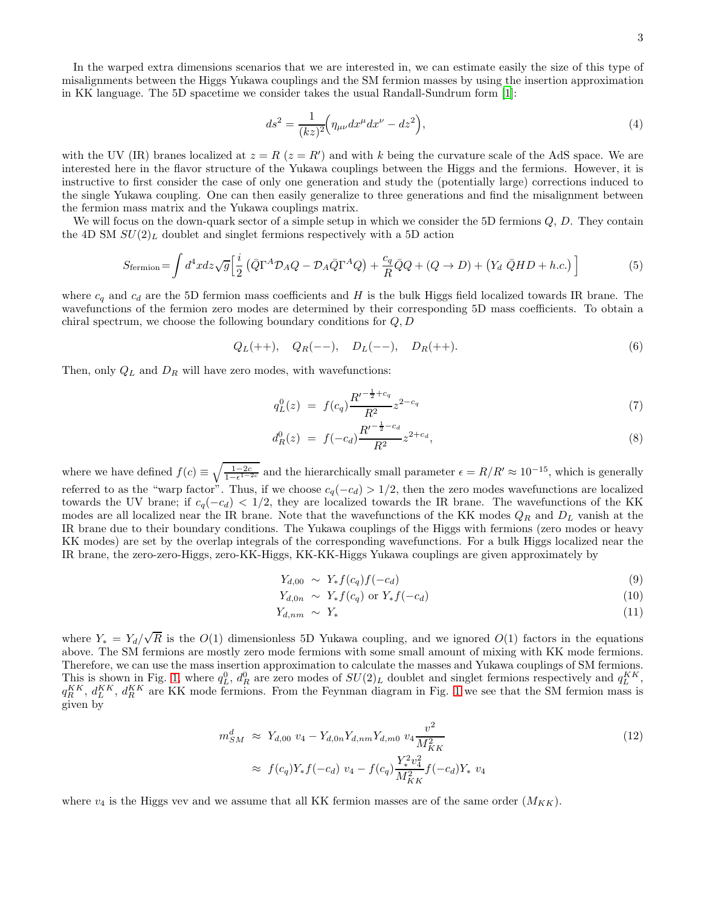$$
ds^{2} = \frac{1}{(kz)^{2}} \left( \eta_{\mu\nu} dx^{\mu} dx^{\nu} - dz^{2} \right),
$$
\n(4)

with the UV (IR) branes localized at  $z = R$  ( $z = R'$ ) and with k being the curvature scale of the AdS space. We are interested here in the flavor structure of the Yukawa couplings between the Higgs and the fermions. However, it is instructive to first consider the case of only one generation and study the (potentially large) corrections induced to the single Yukawa coupling. One can then easily generalize to three generations and find the misalignment between the fermion mass matrix and the Yukawa couplings matrix.

We will focus on the down-quark sector of a simple setup in which we consider the 5D fermions  $Q, D$ . They contain the 4D SM  $SU(2)_L$  doublet and singlet fermions respectively with a 5D action

<span id="page-2-0"></span>
$$
S_{\text{fermion}} = \int d^4x \, dz \sqrt{g} \left[ \frac{i}{2} \left( \bar{Q} \Gamma^A \mathcal{D}_A Q - \mathcal{D}_A \bar{Q} \Gamma^A Q \right) + \frac{c_q}{R} \bar{Q} Q + (Q \to D) + \left( Y_d \ \bar{Q} H D + h.c. \right) \right] \tag{5}
$$

where  $c_q$  and  $c_d$  are the 5D fermion mass coefficients and H is the bulk Higgs field localized towards IR brane. The wavefunctions of the fermion zero modes are determined by their corresponding 5D mass coefficients. To obtain a chiral spectrum, we choose the following boundary conditions for  $Q, D$ 

$$
Q_L(++)\quad Q_R(--), \quad D_L(--), \quad D_R(++)\tag{6}
$$

Then, only  $Q_L$  and  $D_R$  will have zero modes, with wavefunctions:

$$
q_L^0(z) = f(c_q) \frac{R'^{-\frac{1}{2} + c_q}}{R^2} z^{2 - c_q} \tag{7}
$$

$$
d_R^0(z) = f(-c_d) \frac{R'^{-\frac{1}{2}-c_d}}{R^2} z^{2+c_d}, \tag{8}
$$

where we have defined  $f(c) \equiv \sqrt{\frac{1-2c}{1-\epsilon^{1-2c}}}$  and the hierarchically small parameter  $\epsilon = R/R' \approx 10^{-15}$ , which is generally referred to as the "warp factor". Thus, if we choose  $c_q(-c_d) > 1/2$ , then the zero modes wavefunctions are localized towards the UV brane; if  $c_q(-c_d) < 1/2$ , they are localized towards the IR brane. The wavefunctions of the KK modes are all localized near the IR brane. Note that the wavefunctions of the KK modes  $Q_R$  and  $D_L$  vanish at the IR brane due to their boundary conditions. The Yukawa couplings of the Higgs with fermions (zero modes or heavy KK modes) are set by the overlap integrals of the corresponding wavefunctions. For a bulk Higgs localized near the IR brane, the zero-zero-Higgs, zero-KK-Higgs, KK-KK-Higgs Yukawa couplings are given approximately by

$$
Y_{d,00} \sim Y_* f(c_q) f(-c_d) \tag{9}
$$

$$
Y_{d,0n} \sim Y_* f(c_q) \text{ or } Y_* f(-c_d) \tag{10}
$$

$$
Y_{d,nm} \sim Y_* \tag{11}
$$

where  $Y_* = Y_d/\sqrt{R}$  is the  $O(1)$  dimensionless 5D Yukawa coupling, and we ignored  $O(1)$  factors in the equations above. The SM fermions are mostly zero mode fermions with some small amount of mixing with KK mode fermions. Therefore, we can use the mass insertion approximation to calculate the masses and Yukawa couplings of SM fermions. This is shown in Fig. [1,](#page-3-0) where  $q_L^0$ ,  $d_R^0$  are zero modes of  $SU(2)_L$  doublet and singlet fermions respectively and  $q_L^{KK}$ ,  $q_R^{KK}$ ,  $d_L^{KK}$ ,  $d_R^{KK}$  are KK mode fermions. From the Feynman diagram in Fig. [1](#page-3-0) we see that the SM fermion mass is given by

$$
m_{SM}^{d} \approx Y_{d,00} v_4 - Y_{d,0n} Y_{d,nm} Y_{d,m0} v_4 \frac{v^2}{M_{KK}^2}
$$
  

$$
\approx f(c_q) Y_* f(-c_d) v_4 - f(c_q) \frac{Y_*^2 v_4^2}{M_{KK}^2} f(-c_d) Y_* v_4
$$
 (12)

where  $v_4$  is the Higgs vev and we assume that all KK fermion masses are of the same order  $(M_{KK})$ .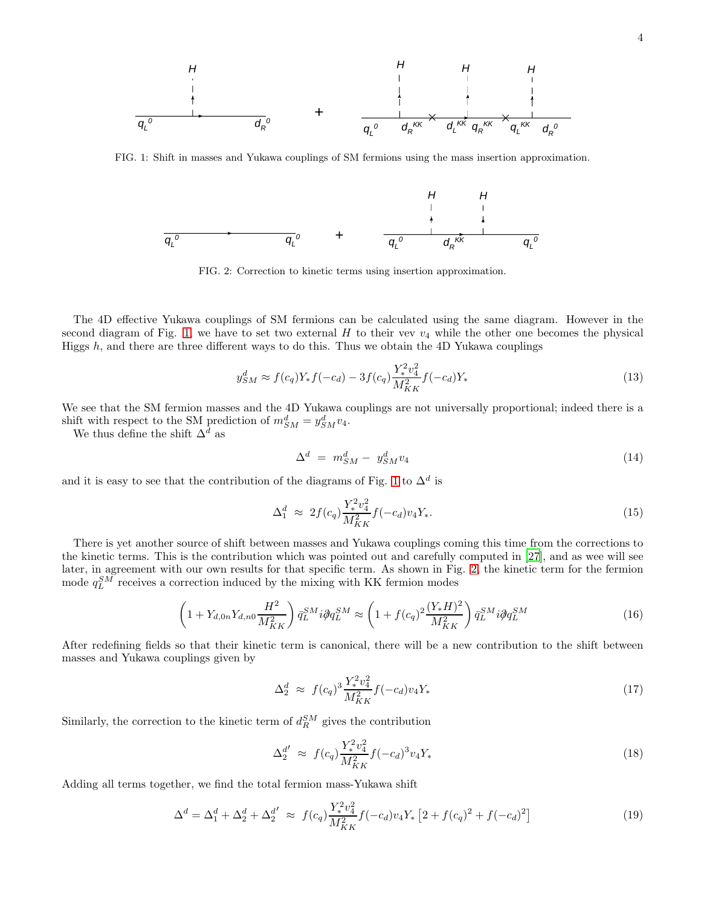

FIG. 1: Shift in masses and Yukawa couplings of SM fermions using the mass insertion approximation.

<span id="page-3-0"></span>

<span id="page-3-1"></span>FIG. 2: Correction to kinetic terms using insertion approximation.

The 4D effective Yukawa couplings of SM fermions can be calculated using the same diagram. However in the second diagram of Fig. [1,](#page-3-0) we have to set two external  $H$  to their vev  $v_4$  while the other one becomes the physical Higgs  $h$ , and there are three different ways to do this. Thus we obtain the 4D Yukawa couplings

$$
y_{SM}^d \approx f(c_q)Y_*f(-c_d) - 3f(c_q)\frac{Y_*^2v_4^2}{M_{KK}^2}f(-c_d)Y_* \tag{13}
$$

We see that the SM fermion masses and the 4D Yukawa couplings are not universally proportional; indeed there is a shift with respect to the SM prediction of  $m_{SM}^d = y_{SM}^d v_4$ .

We thus define the shift  $\Delta^d$  as

$$
\Delta^d = m_{SM}^d - y_{SM}^d v_4 \tag{14}
$$

and it is easy to see that the contribution of the diagrams of Fig. [1](#page-3-0) to  $\Delta^d$  is

<span id="page-3-3"></span>
$$
\Delta_1^d \approx 2f(c_q) \frac{Y_*^2 v_4^2}{M_{KK}^2} f(-c_d) v_4 Y_*.
$$
\n(15)

There is yet another source of shift between masses and Yukawa couplings coming this time from the corrections to the kinetic terms. This is the contribution which was pointed out and carefully computed in [\[27\]](#page-20-9), and as wee will see later, in agreement with our own results for that specific term. As shown in Fig. [2,](#page-3-1) the kinetic term for the fermion mode  $q_L^{SM}$  receives a correction induced by the mixing with KK fermion modes

$$
\left(1 + Y_{d,0n}Y_{d,n0}\frac{H^2}{M_{KK}^2}\right)\bar{q}_L^{SM}i\partial q_L^{SM} \approx \left(1 + f(c_q)^2 \frac{(Y_*H)^2}{M_{KK}^2}\right)\bar{q}_L^{SM}i\partial q_L^{SM}
$$
(16)

After redefining fields so that their kinetic term is canonical, there will be a new contribution to the shift between masses and Yukawa couplings given by

<span id="page-3-4"></span>
$$
\Delta_2^d \approx f(c_q)^3 \frac{Y_*^2 v_4^2}{M_{KK}^2} f(-c_d) v_4 Y_* \tag{17}
$$

Similarly, the correction to the kinetic term of  $d_R^{SM}$  gives the contribution

<span id="page-3-5"></span>
$$
\Delta_2^{d'} \approx f(c_q) \frac{Y_*^2 v_4^2}{M_{KK}^2} f(-c_d)^3 v_4 Y_* \tag{18}
$$

Adding all terms together, we find the total fermion mass-Yukawa shift

<span id="page-3-2"></span>
$$
\Delta^{d} = \Delta_{1}^{d} + \Delta_{2}^{d} + \Delta_{2}^{d'} \approx f(c_{q}) \frac{Y_{*}^{2} v_{4}^{2}}{M_{KK}^{2}} f(-c_{d}) v_{4} Y_{*} [2 + f(c_{q})^{2} + f(-c_{d})^{2}] \tag{19}
$$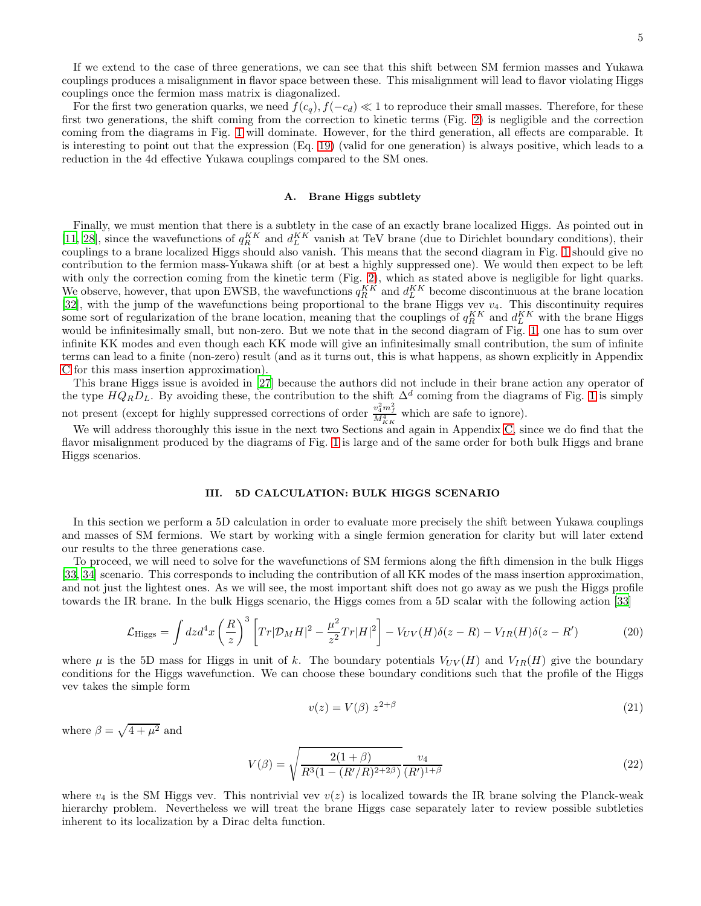If we extend to the case of three generations, we can see that this shift between SM fermion masses and Yukawa couplings produces a misalignment in flavor space between these. This misalignment will lead to flavor violating Higgs couplings once the fermion mass matrix is diagonalized.

For the first two generation quarks, we need  $f(c_q)$ ,  $f(-c_d) \ll 1$  to reproduce their small masses. Therefore, for these first two generations, the shift coming from the correction to kinetic terms (Fig. [2\)](#page-3-1) is negligible and the correction coming from the diagrams in Fig. [1](#page-3-0) will dominate. However, for the third generation, all effects are comparable. It is interesting to point out that the expression (Eq. [19\)](#page-3-2) (valid for one generation) is always positive, which leads to a reduction in the 4d effective Yukawa couplings compared to the SM ones.

## A. Brane Higgs subtlety

Finally, we must mention that there is a subtlety in the case of an exactly brane localized Higgs. As pointed out in [\[11,](#page-19-10) [28\]](#page-20-10), since the wavefunctions of  $q_R^{KK}$  and  $d_L^{KK}$  vanish at TeV brane (due to Dirichlet boundary conditions), their couplings to a brane localized Higgs should also vanish. This means that the second diagram in Fig. [1](#page-3-0) should give no contribution to the fermion mass-Yukawa shift (or at best a highly suppressed one). We would then expect to be left with only the correction coming from the kinetic term (Fig. [2\)](#page-3-1), which as stated above is negligible for light quarks. We observe, however, that upon EWSB, the wavefunctions  $q_R^{KK}$  and  $d_L^{KK}$  become discontinuous at the brane location [\[32\]](#page-20-11), with the jump of the wavefunctions being proportional to the brane Higgs vev  $v_4$ . This discontinuity requires some sort of regularization of the brane location, meaning that the couplings of  $q_R^{KK}$  and  $d_L^{KK}$  with the brane Higgs would be infinitesimally small, but non-zero. But we note that in the second diagram of Fig. [1,](#page-3-0) one has to sum over infinite KK modes and even though each KK mode will give an infinitesimally small contribution, the sum of infinite terms can lead to a finite (non-zero) result (and as it turns out, this is what happens, as shown explicitly in Appendix [C](#page-21-0) for this mass insertion approximation).

This brane Higgs issue is avoided in [\[27\]](#page-20-9) because the authors did not include in their brane action any operator of the type  $HQ_RD_L$ . By avoiding these, the contribution to the shift  $\Delta^d$  coming from the diagrams of Fig. [1](#page-3-0) is simply not present (except for highly suppressed corrections of order  $\frac{v_4^2 m_f^2}{M_{KK}^4}$  which are safe to ignore).

We will address thoroughly this issue in the next two Sections and again in Appendix [C,](#page-21-0) since we do find that the flavor misalignment produced by the diagrams of Fig. [1](#page-3-0) is large and of the same order for both bulk Higgs and brane Higgs scenarios.

#### <span id="page-4-1"></span>III. 5D CALCULATION: BULK HIGGS SCENARIO

In this section we perform a 5D calculation in order to evaluate more precisely the shift between Yukawa couplings and masses of SM fermions. We start by working with a single fermion generation for clarity but will later extend our results to the three generations case.

To proceed, we will need to solve for the wavefunctions of SM fermions along the fifth dimension in the bulk Higgs [\[33,](#page-20-12) [34](#page-20-13)] scenario. This corresponds to including the contribution of all KK modes of the mass insertion approximation, and not just the lightest ones. As we will see, the most important shift does not go away as we push the Higgs profile towards the IR brane. In the bulk Higgs scenario, the Higgs comes from a 5D scalar with the following action [\[33](#page-20-12)]

$$
\mathcal{L}_{\text{Higgs}} = \int dz d^4x \left(\frac{R}{z}\right)^3 \left[Tr|\mathcal{D}_M H|^2 - \frac{\mu^2}{z^2} Tr|H|^2\right] - V_{UV}(H)\delta(z - R) - V_{IR}(H)\delta(z - R')
$$
(20)

where  $\mu$  is the 5D mass for Higgs in unit of k. The boundary potentials  $V_{UV}(H)$  and  $V_{IR}(H)$  give the boundary conditions for the Higgs wavefunction. We can choose these boundary conditions such that the profile of the Higgs vev takes the simple form

<span id="page-4-0"></span>
$$
v(z) = V(\beta) z^{2+\beta} \tag{21}
$$

where  $\beta = \sqrt{4 + \mu^2}$  and

<span id="page-4-2"></span>
$$
V(\beta) = \sqrt{\frac{2(1+\beta)}{R^3(1 - (R'/R)^{2+2\beta})}} \frac{v_4}{(R')^{1+\beta}}
$$
\n(22)

where  $v_4$  is the SM Higgs vev. This nontrivial vev  $v(z)$  is localized towards the IR brane solving the Planck-weak hierarchy problem. Nevertheless we will treat the brane Higgs case separately later to review possible subtleties inherent to its localization by a Dirac delta function.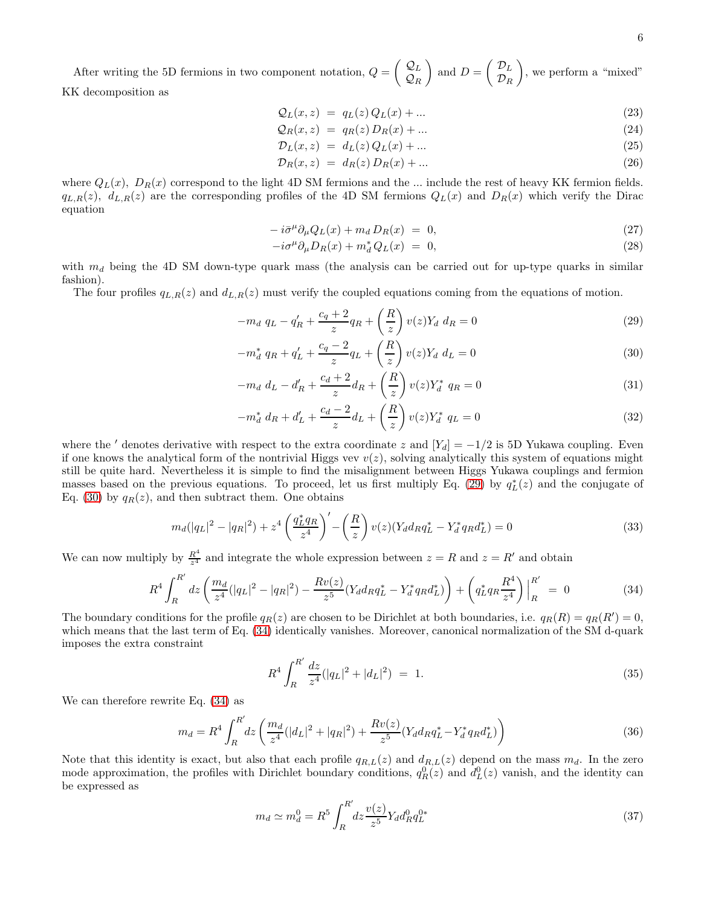After writing the 5D fermions in two component notation, 
$$
Q = \begin{pmatrix} Q_L \\ Q_R \end{pmatrix}
$$
 and  $D = \begin{pmatrix} \mathcal{D}_L \\ \mathcal{D}_R \end{pmatrix}$ , we perform a "mixed"  
KK decomposition as

$$
\mathcal{Q}_L(x,z) = q_L(z)Q_L(x) + \dots \tag{23}
$$

$$
\mathcal{Q}_R(x,z) = q_R(z) D_R(x) + \dots \tag{24}
$$

$$
\mathcal{D}_L(x, z) = d_L(z) Q_L(x) + \dots \tag{25}
$$

$$
\mathcal{D}_R(x, z) = d_R(z) D_R(x) + \dots \tag{26}
$$

where  $Q_L(x)$ ,  $D_R(x)$  correspond to the light 4D SM fermions and the ... include the rest of heavy KK fermion fields.  $q_{L,R}(z)$ ,  $d_{L,R}(z)$  are the corresponding profiles of the 4D SM fermions  $Q_L(x)$  and  $D_R(x)$  which verify the Dirac equation

$$
-i\bar{\sigma}^{\mu}\partial_{\mu}Q_{L}(x) + m_{d}D_{R}(x) = 0, \qquad (27)
$$

$$
-i\sigma^{\mu}\partial_{\mu}D_{R}(x) + m_{d}^{*}Q_{L}(x) = 0, \qquad (28)
$$

with  $m_d$  being the 4D SM down-type quark mass (the analysis can be carried out for up-type quarks in similar fashion).

The four profiles  $q_{L,R}(z)$  and  $d_{L,R}(z)$  must verify the coupled equations coming from the equations of motion.

<span id="page-5-0"></span>
$$
-m_d q_L - q'_R + \frac{c_q + 2}{z} q_R + \left(\frac{R}{z}\right) v(z) Y_d \ d_R = 0 \tag{29}
$$

$$
-m_d^* q_R + q'_L + \frac{c_q - 2}{z} q_L + \left(\frac{R}{z}\right) v(z) Y_d \ d_L = 0 \tag{30}
$$

$$
-m_d d_L - d'_R + \frac{c_d + 2}{z} d_R + \left(\frac{R}{z}\right) v(z) Y_d^* q_R = 0
$$
\n(31)

$$
-m_d^* d_R + d'_L + \frac{c_d - 2}{z} d_L + \left(\frac{R}{z}\right) v(z) Y_d^* q_L = 0
$$
\n(32)

where the ' denotes derivative with respect to the extra coordinate z and  $[Y_d] = -1/2$  is 5D Yukawa coupling. Even if one knows the analytical form of the nontrivial Higgs vev  $v(z)$ , solving analytically this system of equations might still be quite hard. Nevertheless it is simple to find the misalignment between Higgs Yukawa couplings and fermion masses based on the previous equations. To proceed, let us first multiply Eq. [\(29\)](#page-5-0) by  $q_L^*(z)$  and the conjugate of Eq. [\(30\)](#page-5-0) by  $q_R(z)$ , and then subtract them. One obtains

$$
m_d(|q_L|^2 - |q_R|^2) + z^4 \left(\frac{q_L^* q_R}{z^4}\right)' - \left(\frac{R}{z}\right) v(z) (Y_d d_R q_L^* - Y_d^* q_R d_L^*) = 0 \tag{33}
$$

We can now multiply by  $\frac{R^4}{r^4}$  $\frac{R^2}{z^4}$  and integrate the whole expression between  $z = R$  and  $z = R'$  and obtain

<span id="page-5-1"></span>
$$
R^4 \int_R^{R'} dz \left(\frac{m_d}{z^4} (|q_L|^2 - |q_R|^2) - \frac{Rv(z)}{z^5} (Y_d d_R q_L^* - Y_d^* q_R d_L^*)\right) + \left(q_L^* q_R \frac{R^4}{z^4}\right) \Big|_R^{R'} = 0 \tag{34}
$$

The boundary conditions for the profile  $q_R(z)$  are chosen to be Dirichlet at both boundaries, i.e.  $q_R(R) = q_R(R') = 0$ , which means that the last term of Eq.  $(34)$  identically vanishes. Moreover, canonical normalization of the SM d-quark imposes the extra constraint

$$
R^4 \int_R^{R'} \frac{dz}{z^4} (|q_L|^2 + |d_L|^2) = 1.
$$
\n(35)

We can therefore rewrite Eq. [\(34\)](#page-5-1) as

$$
m_d = R^4 \int_R^{R'} dz \left( \frac{m_d}{z^4} (|d_L|^2 + |q_R|^2) + \frac{Rv(z)}{z^5} (Y_d d_R q_L^* - Y_d^* q_R d_L^*) \right)
$$
(36)

Note that this identity is exact, but also that each profile  $q_{R,L}(z)$  and  $d_{R,L}(z)$  depend on the mass  $m_d$ . In the zero mode approximation, the profiles with Dirichlet boundary conditions,  $q_R^0(z)$  and  $d_L^0(z)$  vanish, and the identity can be expressed as

$$
m_d \simeq m_d^0 = R^5 \int_R^{R'} dz \frac{v(z)}{z^5} Y_d d_R^0 q_L^{0*}
$$
\n(37)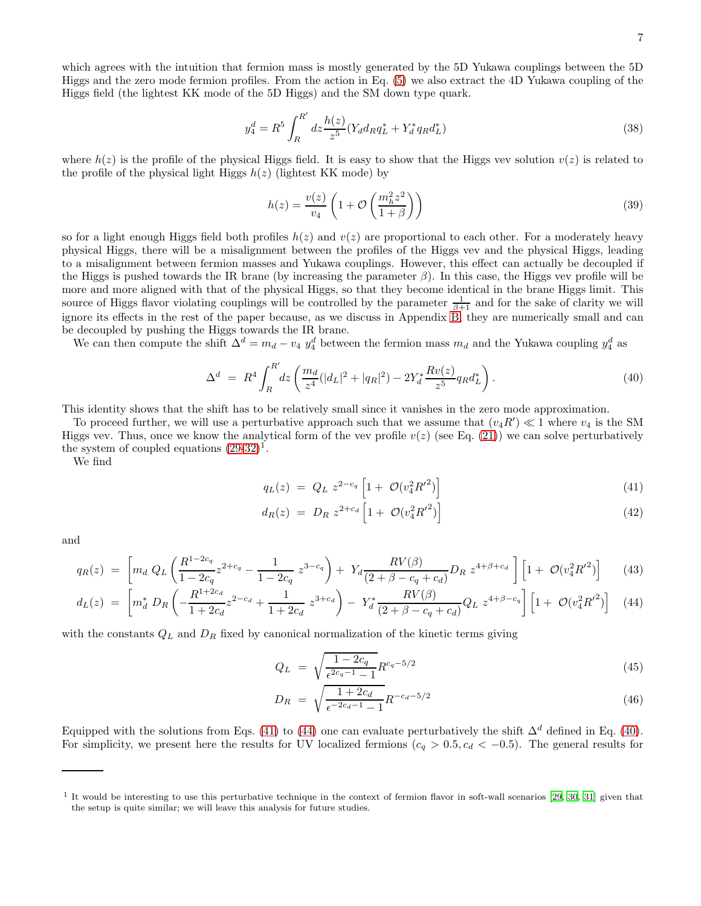$$
y_4^d = R^5 \int_R^{R'} dz \frac{h(z)}{z^5} (Y_d d_R q_L^* + Y_d^* q_R d_L^*)
$$
\n(38)

where  $h(z)$  is the profile of the physical Higgs field. It is easy to show that the Higgs vev solution  $v(z)$  is related to the profile of the physical light Higgs  $h(z)$  (lightest KK mode) by

$$
h(z) = \frac{v(z)}{v_4} \left( 1 + \mathcal{O}\left(\frac{m_h^2 z^2}{1 + \beta}\right) \right) \tag{39}
$$

so for a light enough Higgs field both profiles  $h(z)$  and  $v(z)$  are proportional to each other. For a moderately heavy physical Higgs, there will be a misalignment between the profiles of the Higgs vev and the physical Higgs, leading to a misalignment between fermion masses and Yukawa couplings. However, this effect can actually be decoupled if the Higgs is pushed towards the IR brane (by increasing the parameter  $\beta$ ). In this case, the Higgs vev profile will be more and more aligned with that of the physical Higgs, so that they become identical in the brane Higgs limit. This source of Higgs flavor violating couplings will be controlled by the parameter  $\frac{1}{\beta+1}$  and for the sake of clarity we will ignore its effects in the rest of the paper because, as we discuss in Appendix [B,](#page-21-1) they are numerically small and can be decoupled by pushing the Higgs towards the IR brane.

We can then compute the shift  $\Delta^d = m_d - v_4 y_4^d$  between the fermion mass  $m_d$  and the Yukawa coupling  $y_4^d$  as

<span id="page-6-2"></span>
$$
\Delta^{d} = R^{4} \int_{R}^{R'} dz \left( \frac{m_{d}}{z^{4}} (|d_{L}|^{2} + |q_{R}|^{2}) - 2Y_{d}^{*} \frac{Rv(z)}{z^{5}} q_{R} d_{L}^{*} \right).
$$
\n(40)

This identity shows that the shift has to be relatively small since it vanishes in the zero mode approximation.

To proceed further, we will use a perturbative approach such that we assume that  $(v_4R') \ll 1$  where  $v_4$  is the SM Higgs vev. Thus, once we know the analytical form of the vev profile  $v(z)$  (see Eq. [\(21\)](#page-4-0)) we can solve perturbatively the system of coupled equations  $(29-32)^{1}$ .

We find

<span id="page-6-0"></span>
$$
q_L(z) = Q_L \ z^{2-c_q} \left[ 1 + \mathcal{O}(v_4^2 R'^2) \right] \tag{41}
$$

$$
d_R(z) = D_R z^{2+c_d} \left[ 1 + \mathcal{O}(v_4^2 R'^2) \right] \tag{42}
$$

and

<span id="page-6-1"></span>
$$
q_R(z) = \left[ m_d \ Q_L \left( \frac{R^{1-2c_q}}{1-2c_q} z^{2+c_q} - \frac{1}{1-2c_q} \ z^{3-c_q} \right) + Y_d \frac{RV(\beta)}{(2+\beta-c_q+c_d)} D_R \ z^{4+\beta+c_d} \right] \left[ 1 + \mathcal{O}(v_4^2 R'^2) \right] \tag{43}
$$

$$
d_L(z) = \left[ m_d^* D_R \left( -\frac{R^{1+2c_d}}{1+2c_d} z^{2-c_d} + \frac{1}{1+2c_d} z^{3+c_d} \right) - Y_d^* \frac{RV(\beta)}{(2+\beta-c_q+c_d)} Q_L z^{4+\beta-c_q} \right] \left[ 1 + \mathcal{O}(v_4^2 R'^2) \right] \tag{44}
$$

with the constants  $Q_L$  and  $D_R$  fixed by canonical normalization of the kinetic terms giving

$$
Q_L = \sqrt{\frac{1 - 2c_q}{\epsilon^{2c_q - 1} - 1}} R^{c_q - 5/2}
$$
\n(45)

$$
D_R = \sqrt{\frac{1 + 2c_d}{\epsilon^{-2c_d - 1} - 1}} R^{-c_d - 5/2}
$$
\n(46)

Equipped with the solutions from Eqs. [\(41\)](#page-6-0) to [\(44\)](#page-6-1) one can evaluate perturbatively the shift  $\Delta^d$  defined in Eq. [\(40\)](#page-6-2). For simplicity, we present here the results for UV localized fermions  $(c_q > 0.5, c_d < -0.5)$ . The general results for

<sup>&</sup>lt;sup>1</sup> It would be interesting to use this perturbative technique in the context of fermion flavor in soft-wall scenarios [\[29,](#page-20-14) [30,](#page-20-15) [31\]](#page-20-16) given that the setup is quite similar; we will leave this analysis for future studies.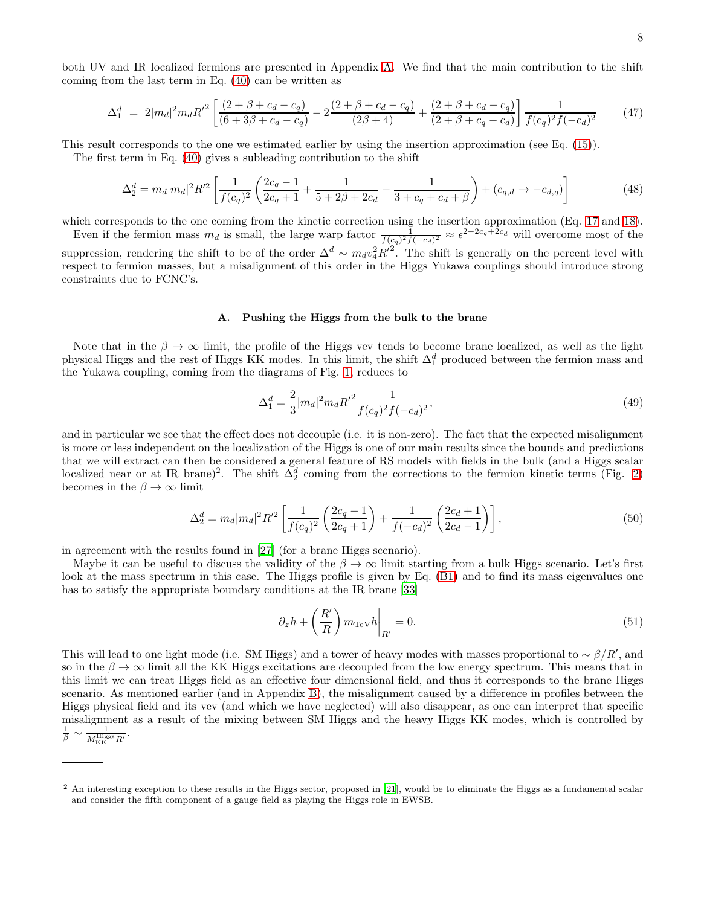both UV and IR localized fermions are presented in Appendix [A.](#page-20-17) We find that the main contribution to the shift coming from the last term in Eq. [\(40\)](#page-6-2) can be written as

<span id="page-7-0"></span>
$$
\Delta_1^d = 2|m_d|^2 m_d R'^2 \left[ \frac{(2+\beta+c_d-c_q)}{(6+3\beta+c_d-c_q)} - 2\frac{(2+\beta+c_d-c_q)}{(2\beta+4)} + \frac{(2+\beta+c_d-c_q)}{(2+\beta+c_q-c_d)} \right] \frac{1}{f(c_q)^2 f(-c_d)^2}
$$
(47)

This result corresponds to the one we estimated earlier by using the insertion approximation (see Eq. [\(15\)](#page-3-3)).

The first term in Eq. [\(40\)](#page-6-2) gives a subleading contribution to the shift

<span id="page-7-1"></span>
$$
\Delta_2^d = m_d |m_d|^2 R'^2 \left[ \frac{1}{f(c_q)^2} \left( \frac{2c_q - 1}{2c_q + 1} + \frac{1}{5 + 2\beta + 2c_d} - \frac{1}{3 + c_q + c_d + \beta} \right) + (c_{q,d} \to -c_{d,q}) \right]
$$
(48)

which corresponds to the one coming from the kinetic correction using the insertion approximation (Eq. [17](#page-3-4) and [18\)](#page-3-5).

Even if the fermion mass  $m_d$  is small, the large warp factor  $\frac{1}{f(c_q)^2 f(-c_d)^2} \approx \epsilon^{2-2c_q+2c_d}$  will overcome most of the suppression, rendering the shift to be of the order  $\Delta^d \sim m_d v_4^2 R'^2$ . The shift is generally on the percent level with respect to fermion masses, but a misalignment of this order in the Higgs Yukawa couplings should introduce strong constraints due to FCNC's.

#### A. Pushing the Higgs from the bulk to the brane

Note that in the  $\beta \to \infty$  limit, the profile of the Higgs vev tends to become brane localized, as well as the light physical Higgs and the rest of Higgs KK modes. In this limit, the shift  $\Delta_1^d$  produced between the fermion mass and the Yukawa coupling, coming from the diagrams of Fig. [1,](#page-3-0) reduces to

$$
\Delta_1^d = \frac{2}{3} |m_d|^2 m_d R'^2 \frac{1}{f(c_q)^2 f(-c_d)^2},\tag{49}
$$

and in particular we see that the effect does not decouple (i.e. it is non-zero). The fact that the expected misalignment is more or less independent on the localization of the Higgs is one of our main results since the bounds and predictions that we will extract can then be considered a general feature of RS models with fields in the bulk (and a Higgs scalar localized near or at IR brane)<sup>2</sup>. The shift  $\Delta_2^d$  coming from the corrections to the fermion kinetic terms (Fig. [2\)](#page-3-1) becomes in the  $\beta \to \infty$  limit

$$
\Delta_2^d = m_d |m_d|^2 R'^2 \left[ \frac{1}{f(c_q)^2} \left( \frac{2c_q - 1}{2c_q + 1} \right) + \frac{1}{f(-c_d)^2} \left( \frac{2c_d + 1}{2c_d - 1} \right) \right],\tag{50}
$$

in agreement with the results found in [\[27](#page-20-9)] (for a brane Higgs scenario).

Maybe it can be useful to discuss the validity of the  $\beta \to \infty$  limit starting from a bulk Higgs scenario. Let's first look at the mass spectrum in this case. The Higgs profile is given by Eq. [\(B1\)](#page-21-2) and to find its mass eigenvalues one has to satisfy the appropriate boundary conditions at the IR brane [\[33\]](#page-20-12)

$$
\partial_z h + \left(\frac{R'}{R}\right) m_{\text{TeV}} h \bigg|_{R'} = 0. \tag{51}
$$

This will lead to one light mode (i.e. SM Higgs) and a tower of heavy modes with masses proportional to ~  $\beta/R'$ , and so in the  $\beta \to \infty$  limit all the KK Higgs excitations are decoupled from the low energy spectrum. This means that in this limit we can treat Higgs field as an effective four dimensional field, and thus it corresponds to the brane Higgs scenario. As mentioned earlier (and in Appendix [B\)](#page-21-1), the misalignment caused by a difference in profiles between the Higgs physical field and its vev (and which we have neglected) will also disappear, as one can interpret that specific misalignment as a result of the mixing between SM Higgs and the heavy Higgs KK modes, which is controlled by  $\frac{1}{\beta}$   $\sim$  $\frac{1}{M_\text{KK}^\text{Higgs}R'}$ .

<sup>&</sup>lt;sup>2</sup> An interesting exception to these results in the Higgs sector, proposed in [\[21\]](#page-20-3), would be to eliminate the Higgs as a fundamental scalar and consider the fifth component of a gauge field as playing the Higgs role in EWSB.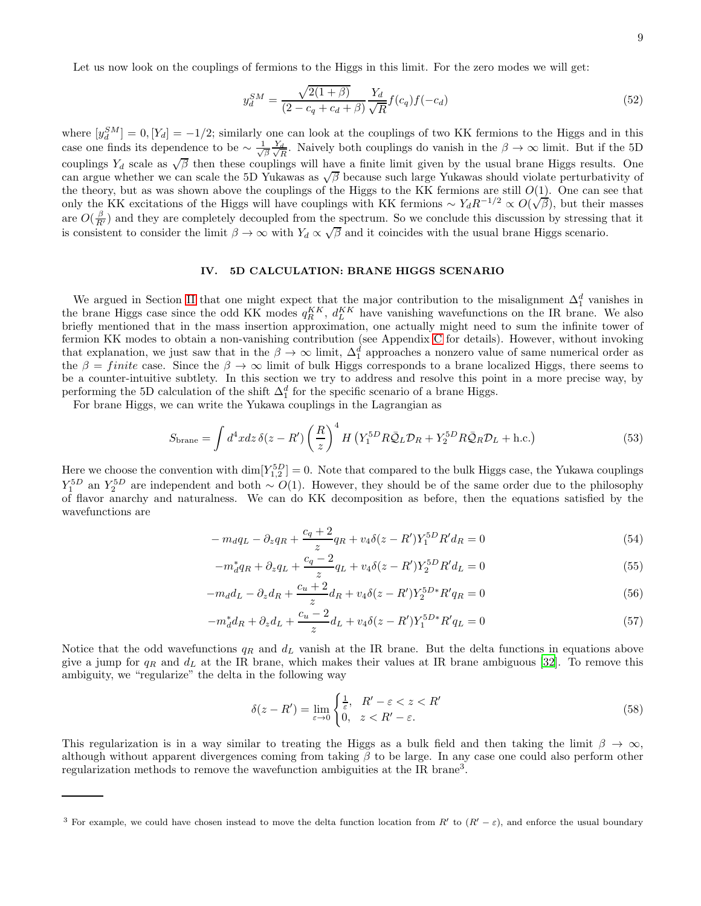Let us now look on the couplings of fermions to the Higgs in this limit. For the zero modes we will get:

$$
y_d^{SM} = \frac{\sqrt{2(1+\beta)}}{(2-c_q+c_d+\beta)} \frac{Y_d}{\sqrt{R}} f(c_q) f(-c_d)
$$
\n(52)

where  $[y_d^S M] = 0$ ,  $[Y_d] = -1/2$ ; similarly one can look at the couplings of two KK fermions to the Higgs and in this case one finds its dependence to be  $\sim \frac{1}{\sqrt{\beta}} \frac{Y_d}{\sqrt{I}}$  $\frac{d}{R}$ . Naively both couplings do vanish in the  $\beta \to \infty$  limit. But if the 5D couplings  $Y_d$  scale as  $\sqrt{\beta}$  then these couplings will have a finite limit given by the usual brane Higgs results. One can argue whether we can scale the 5D Yukawas as  $\sqrt{\beta}$  because such large Yukawas should violate perturbativity of the theory, but as was shown above the couplings of the Higgs to the KK fermions are still  $O(1)$ . One can see that only the KK excitations of the Higgs will have couplings with KK fermions  $\sim Y_d R^{-1/2} \propto O(\sqrt{\beta})$ , but their masses are  $O(\frac{\beta}{R'})$  and they are completely decoupled from the spectrum. So we conclude this discussion by stressing that it is consistent to consider the limit  $\beta \to \infty$  with  $Y_d \propto \sqrt{\beta}$  and it coincides with the usual brane Higgs scenario.

## <span id="page-8-1"></span>IV. 5D CALCULATION: BRANE HIGGS SCENARIO

We argued in Section [II](#page-1-2) that one might expect that the major contribution to the misalignment  $\Delta_1^d$  vanishes in the brane Higgs case since the odd KK modes  $q_R^{KK}$ ,  $d_L^{KK}$  have vanishing wavefunctions on the IR brane. We also briefly mentioned that in the mass insertion approximation, one actually might need to sum the infinite tower of fermion KK modes to obtain a non-vanishing contribution (see Appendix [C](#page-21-0) for details). However, without invoking that explanation, we just saw that in the  $\beta \to \infty$  limit,  $\Delta_1^d$  approaches a nonzero value of same numerical order as the  $\beta = finite$  case. Since the  $\beta \to \infty$  limit of bulk Higgs corresponds to a brane localized Higgs, there seems to be a counter-intuitive subtlety. In this section we try to address and resolve this point in a more precise way, by performing the 5D calculation of the shift  $\Delta_1^d$  for the specific scenario of a brane Higgs.

For brane Higgs, we can write the Yukawa couplings in the Lagrangian as

$$
S_{\text{brane}} = \int d^4x \, dz \, \delta(z - R') \left(\frac{R}{z}\right)^4 H \left(Y_1^{5D} R \bar{Q}_L \mathcal{D}_R + Y_2^{5D} R \bar{Q}_R \mathcal{D}_L + \text{h.c.}\right) \tag{53}
$$

Here we choose the convention with  $\dim[Y_{1,2}^{5D}] = 0$ . Note that compared to the bulk Higgs case, the Yukawa couplings  $Y_1^{5D}$  an  $Y_2^{5D}$  are independent and both ~  $O(1)$ . However, they should be of the same order due to the philosophy of flavor anarchy and naturalness. We can do KK decomposition as before, then the equations satisfied by the wavefunctions are

<span id="page-8-0"></span>
$$
-m_d q_L - \partial_z q_R + \frac{c_q + 2}{z} q_R + v_4 \delta(z - R') Y_1^{5D} R' d_R = 0 \tag{54}
$$

$$
-m_d^* q_R + \partial_z q_L + \frac{c_q - 2}{z} q_L + v_4 \delta(z - R') Y_2^{5D} R' d_L = 0 \tag{55}
$$

$$
-m_d d_L - \partial_z d_R + \frac{c_u + 2}{z} d_R + v_4 \delta(z - R') Y_2^{5D*} R' q_R = 0
$$
\n(56)

$$
-m_d^* d_R + \partial_z d_L + \frac{c_u - 2}{z} d_L + v_4 \delta(z - R') Y_1^{5D*} R' q_L = 0 \tag{57}
$$

Notice that the odd wavefunctions  $q_R$  and  $d_L$  vanish at the IR brane. But the delta functions in equations above give a jump for  $q_R$  and  $d_L$  at the IR brane, which makes their values at IR brane ambiguous [\[32\]](#page-20-11). To remove this ambiguity, we "regularize" the delta in the following way

<span id="page-8-2"></span>
$$
\delta(z - R') = \lim_{\varepsilon \to 0} \begin{cases} \frac{1}{\varepsilon}, & R' - \varepsilon < z < R' \\ 0, & z < R' - \varepsilon. \end{cases} \tag{58}
$$

This regularization is in a way similar to treating the Higgs as a bulk field and then taking the limit  $\beta \to \infty$ , although without apparent divergences coming from taking  $\beta$  to be large. In any case one could also perform other regularization methods to remove the wavefunction ambiguities at the IR brane<sup>3</sup>.

<sup>&</sup>lt;sup>3</sup> For example, we could have chosen instead to move the delta function location from R' to  $(R' - \varepsilon)$ , and enforce the usual boundary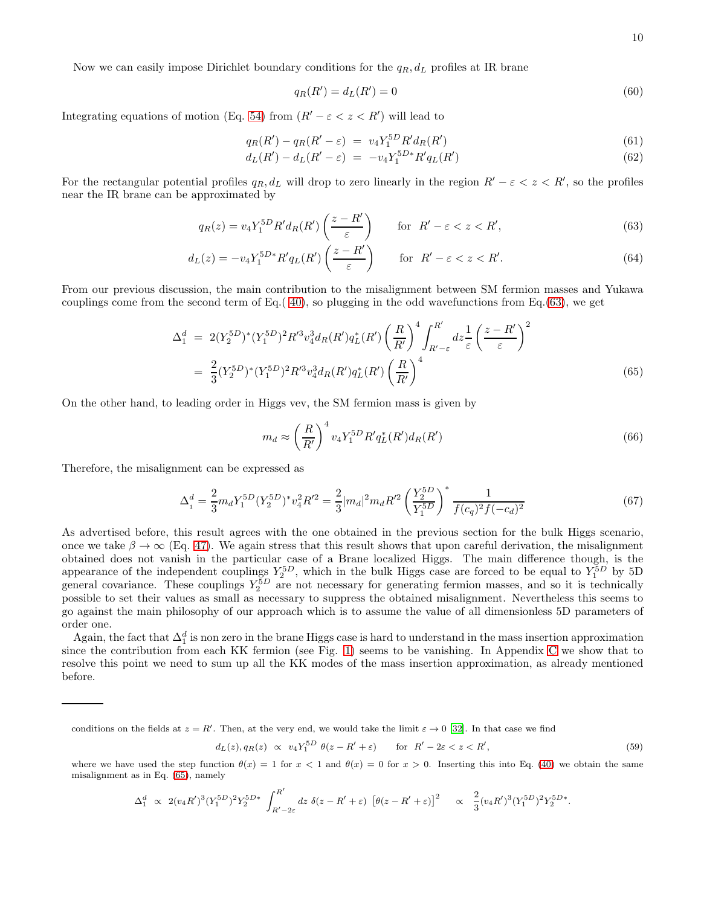Now we can easily impose Dirichlet boundary conditions for the  $q_R, d_L$  profiles at IR brane

$$
q_R(R') = d_L(R') = 0\tag{60}
$$

Integrating equations of motion (Eq. [54\)](#page-8-0) from  $(R' - \varepsilon < z < R')$  will lead to

$$
q_R(R') - q_R(R' - \varepsilon) = v_4 Y_1^{5D} R' d_R(R')
$$
\n(61)

$$
d_L(R') - d_L(R' - \varepsilon) = -v_4 Y_1^{5D*} R' q_L(R')
$$
\n(62)

For the rectangular potential profiles  $q_R, d_L$  will drop to zero linearly in the region  $R' - \varepsilon < z < R'$ , so the profiles near the IR brane can be approximated by

<span id="page-9-0"></span>
$$
q_R(z) = v_4 Y_1^{5D} R' d_R(R') \left(\frac{z - R'}{\varepsilon}\right) \qquad \text{for } R' - \varepsilon < z < R',\tag{63}
$$

$$
d_L(z) = -v_4 Y_1^{5D*} R' q_L(R') \left(\frac{z - R'}{\varepsilon}\right) \qquad \text{for } R' - \varepsilon < z < R'.\tag{64}
$$

From our previous discussion, the main contribution to the misalignment between SM fermion masses and Yukawa couplings come from the second term of Eq.( [40\)](#page-6-2), so plugging in the odd wavefunctions from Eq.[\(63\)](#page-9-0), we get

<span id="page-9-1"></span>
$$
\Delta_1^d = 2(Y_2^{5D})^*(Y_1^{5D})^2 R'^3 v_4^3 d_R(R') q_L^*(R') \left(\frac{R}{R'}\right)^4 \int_{R' - \varepsilon}^{R'} dz \frac{1}{\varepsilon} \left(\frac{z - R'}{\varepsilon}\right)^2
$$
  
= 
$$
\frac{2}{3} (Y_2^{5D})^*(Y_1^{5D})^2 R'^3 v_4^3 d_R(R') q_L^*(R') \left(\frac{R}{R'}\right)^4
$$
(65)

On the other hand, to leading order in Higgs vev, the SM fermion mass is given by

$$
m_d \approx \left(\frac{R}{R'}\right)^4 v_4 Y_1^{5D} R' q_L^*(R') d_R(R') \tag{66}
$$

Therefore, the misalignment can be expressed as

<span id="page-9-2"></span>
$$
\Delta_1^d = \frac{2}{3} m_d Y_1^{5D} (Y_2^{5D})^* v_4^2 R^2 = \frac{2}{3} |m_d|^2 m_d R^2 \left(\frac{Y_2^{5D}}{Y_1^{5D}}\right)^* \frac{1}{f(c_q)^2 f(-c_d)^2}
$$
(67)

As advertised before, this result agrees with the one obtained in the previous section for the bulk Higgs scenario, once we take  $\beta \to \infty$  (Eq. [47\)](#page-7-0). We again stress that this result shows that upon careful derivation, the misalignment obtained does not vanish in the particular case of a Brane localized Higgs. The main difference though, is the appearance of the independent couplings  $Y_2^{5D}$ , which in the bulk Higgs case are forced to be equal to  $Y_1^{5D}$  by 5D general covariance. These couplings  $Y_2^{5D}$  are not necessary for generating fermion masses, and so it is technically possible to set their values as small as necessary to suppress the obtained misalignment. Nevertheless this seems to go against the main philosophy of our approach which is to assume the value of all dimensionless 5D parameters of order one.

Again, the fact that  $\Delta_1^d$  is non zero in the brane Higgs case is hard to understand in the mass insertion approximation since the contribution from each KK fermion (see Fig. [1\)](#page-3-0) seems to be vanishing. In Appendix [C](#page-21-0) we show that to resolve this point we need to sum up all the KK modes of the mass insertion approximation, as already mentioned before.

conditions on the fields at  $z = R'$ . Then, at the very end, we would take the limit  $\varepsilon \to 0$  [\[32\]](#page-20-11). In that case we find

$$
d_L(z), q_R(z) \propto v_4 Y_1^{5D} \theta(z - R' + \varepsilon) \qquad \text{for } R' - 2\varepsilon < z < R',\tag{59}
$$

where we have used the step function  $\theta(x) = 1$  for  $x < 1$  and  $\theta(x) = 0$  for  $x > 0$ . Inserting this into Eq. [\(40\)](#page-6-2) we obtain the same misalignment as in Eq. [\(65\)](#page-9-1), namely

$$
\Delta_1^d \;\propto\; 2 (v_4 R')^3 (Y_1^{5D})^2 Y_2^{5D*} \; \int_{R'-2\varepsilon}^{R'} \!dz\; \delta(z-R'+\varepsilon)\; \left[\theta(z-R'+\varepsilon)\right]^2 \quad \propto\; \; \frac{2}{3} (v_4 R')^3 (Y_1^{5D})^2 Y_2^{5D*}.
$$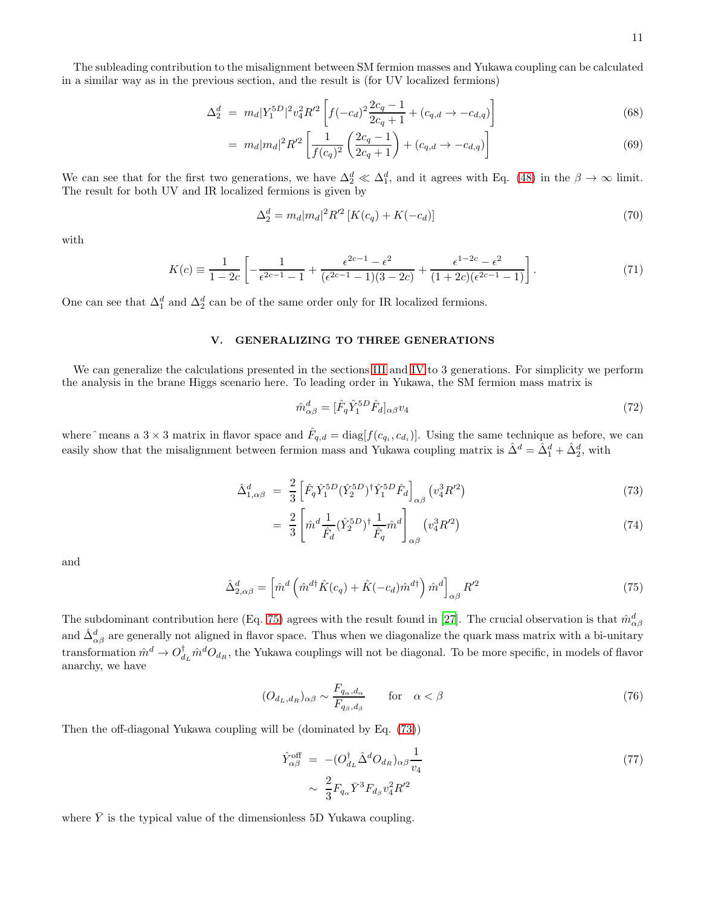The subleading contribution to the misalignment between SM fermion masses and Yukawa coupling can be calculated in a similar way as in the previous section, and the result is (for UV localized fermions)

$$
\Delta_2^d = m_d |Y_1^{5D}|^2 v_4^2 R'^2 \left[ f(-c_d)^2 \frac{2c_q - 1}{2c_q + 1} + (c_{q,d} \to -c_{d,q}) \right]
$$
\n(68)

$$
= m_d |m_d|^2 R'^2 \left[ \frac{1}{f(c_q)^2} \left( \frac{2c_q - 1}{2c_q + 1} \right) + (c_{q,d} \to -c_{d,q}) \right]
$$
(69)

We can see that for the first two generations, we have  $\Delta_2^d \ll \Delta_1^d$ , and it agrees with Eq. [\(48\)](#page-7-1) in the  $\beta \to \infty$  limit. The result for both UV and IR localized fermions is given by

$$
\Delta_2^d = m_d |m_d|^2 R'^2 \left[ K(c_q) + K(-c_d) \right] \tag{70}
$$

with

$$
K(c) \equiv \frac{1}{1 - 2c} \left[ -\frac{1}{\epsilon^{2c - 1} - 1} + \frac{\epsilon^{2c - 1} - \epsilon^2}{(\epsilon^{2c - 1} - 1)(3 - 2c)} + \frac{\epsilon^{1 - 2c} - \epsilon^2}{(1 + 2c)(\epsilon^{2c - 1} - 1)} \right].
$$
\n(71)

One can see that  $\Delta_1^d$  and  $\Delta_2^d$  can be of the same order only for IR localized fermions.

# V. GENERALIZING TO THREE GENERATIONS

We can generalize the calculations presented in the sections [III](#page-4-1) and [IV](#page-8-1) to 3 generations. For simplicity we perform the analysis in the brane Higgs scenario here. To leading order in Yukawa, the SM fermion mass matrix is

$$
\hat{m}_{\alpha\beta}^d = [\hat{F}_q \hat{Y}_1^{5D} \hat{F}_d]_{\alpha\beta} v_4 \tag{72}
$$

where  $\hat{\ }$  means a 3  $\times$  3 matrix in flavor space and  $\hat{F}_{q,d} = \text{diag}[f(c_{q_i}, c_{d_i})]$ . Using the same technique as before, we can easily show that the misalignment between fermion mass and Yukawa coupling matrix is  $\hat{\Delta}^d = \hat{\Delta}_1^d + \hat{\Delta}_2^d$ , with

<span id="page-10-1"></span>
$$
\hat{\Delta}_{1,\alpha\beta}^{d} = \frac{2}{3} \left[ \hat{F}_{q} \hat{Y}_{1}^{5D} (\hat{Y}_{2}^{5D})^{\dagger} \hat{Y}_{1}^{5D} \hat{F}_{d} \right]_{\alpha\beta} (v_{4}^{3} R'^{2}) \tag{73}
$$

$$
= \frac{2}{3} \left[ \hat{m}^d \frac{1}{\hat{F}_d} (\hat{Y}_2^{5D})^\dagger \frac{1}{\hat{F}_q} \hat{m}^d \right]_{\alpha\beta} (v_4^3 R'^2)
$$
 (74)

and

<span id="page-10-0"></span>
$$
\hat{\Delta}_{2,\alpha\beta}^d = \left[ \hat{m}^d \left( \hat{m}^{d\dagger} \hat{K}(c_q) + \hat{K}(-c_d) \hat{m}^{d\dagger} \right) \hat{m}^d \right]_{\alpha\beta} R^{\prime 2} \tag{75}
$$

The subdominant contribution here (Eq. [75\)](#page-10-0) agrees with the result found in [\[27\]](#page-20-9). The crucial observation is that  $\hat{m}^d_{\alpha\beta}$ and  $\hat{\Delta}^d_{\alpha\beta}$  are generally not aligned in flavor space. Thus when we diagonalize the quark mass matrix with a bi-unitary transformation  $\hat{m}^d \to O_{d_L}^{\dagger} \hat{m}^d O_{d_R}$ , the Yukawa couplings will not be diagonal. To be more specific, in models of flavor anarchy, we have

<span id="page-10-2"></span>
$$
(O_{d_L,d_R})_{\alpha\beta} \sim \frac{F_{q_\alpha,d_\alpha}}{F_{q_\beta,d_\beta}} \qquad \text{for} \quad \alpha < \beta \tag{76}
$$

Then the off-diagonal Yukawa coupling will be (dominated by Eq. [\(73\)](#page-10-1))

<span id="page-10-3"></span>
$$
\hat{Y}_{\alpha\beta}^{\text{off}} = -(O_{d_L}^{\dagger} \hat{\Delta}^d O_{d_R})_{\alpha\beta} \frac{1}{v_4}
$$
\n
$$
\sim \frac{2}{3} F_{q_{\alpha}} \bar{Y}^3 F_{d_{\beta}} v_4^2 R'^2
$$
\n(77)

where  $\overline{Y}$  is the typical value of the dimensionless 5D Yukawa coupling.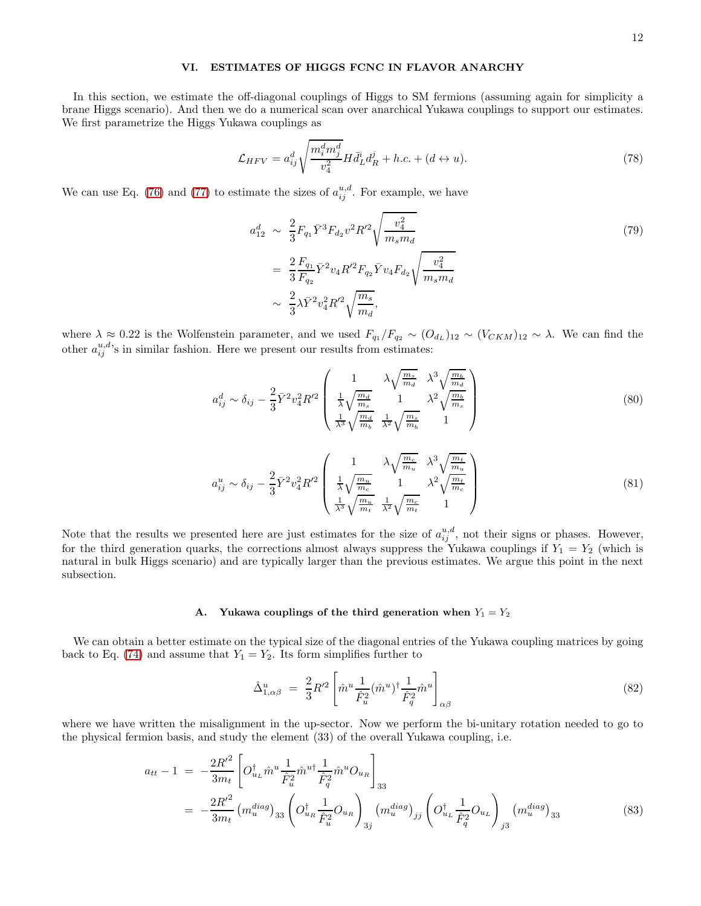## VI. ESTIMATES OF HIGGS FCNC IN FLAVOR ANARCHY

In this section, we estimate the off-diagonal couplings of Higgs to SM fermions (assuming again for simplicity a brane Higgs scenario). And then we do a numerical scan over anarchical Yukawa couplings to support our estimates. We first parametrize the Higgs Yukawa couplings as

$$
\mathcal{L}_{HFV} = a_{ij}^d \sqrt{\frac{m_i^d m_j^d}{v_4^2}} H \bar{d}_L^i d_R^j + h.c. + (d \leftrightarrow u). \tag{78}
$$

We can use Eq. [\(76\)](#page-10-2) and [\(77\)](#page-10-3) to estimate the sizes of  $a_{ij}^{u,d}$ . For example, we have

$$
a_{12}^d \sim \frac{2}{3} F_{q_1} \bar{Y}^3 F_{d_2} v^2 R'^2 \sqrt{\frac{v_4^2}{m_s m_d}}
$$
  
= 
$$
\frac{2}{3} \frac{F_{q_1}}{F_{q_2}} \bar{Y}^2 v_4 R'^2 F_{q_2} \bar{Y} v_4 F_{d_2} \sqrt{\frac{v_4^2}{m_s m_d}}
$$
  

$$
\sim \frac{2}{3} \lambda \bar{Y}^2 v_4^2 R'^2 \sqrt{\frac{m_s}{m_d}},
$$
 (79)

where  $\lambda \approx 0.22$  is the Wolfenstein parameter, and we used  $F_{q_1}/F_{q_2} \sim (O_{d_L})_{12} \sim (V_{CKM})_{12} \sim \lambda$ . We can find the other  $a_{ij}^{u,d}$ 's in similar fashion. Here we present our results from estimates:

<span id="page-11-0"></span>
$$
a_{ij}^d \sim \delta_{ij} - \frac{2}{3} \bar{Y}^2 v_4^2 R'^2 \left( \frac{1}{\frac{1}{\lambda} \sqrt{\frac{m_d}{m_s}}} \frac{\lambda \sqrt{\frac{m_s}{m_d}}}{1} \frac{\lambda^3 \sqrt{\frac{m_b}{m_d}}}{\lambda^2 \sqrt{\frac{m_b}{m_s}}} \right)
$$
(80)

<span id="page-11-1"></span>
$$
a_{ij}^u \sim \delta_{ij} - \frac{2}{3} \bar{Y}^2 v_4^2 R'^2 \begin{pmatrix} 1 & \lambda \sqrt{\frac{m_c}{m_u}} & \lambda^3 \sqrt{\frac{m_t}{m_u}} \\ \frac{1}{\lambda} \sqrt{\frac{m_u}{m_c}} & 1 & \lambda^2 \sqrt{\frac{m_t}{m_c}} \\ \frac{1}{\lambda^3} \sqrt{\frac{m_u}{m_t}} & \frac{1}{\lambda^2} \sqrt{\frac{m_c}{m_t}} & 1 \end{pmatrix}
$$
(81)

Note that the results we presented here are just estimates for the size of  $a_{ij}^{u,d}$ , not their signs or phases. However, for the third generation quarks, the corrections almost always suppress the Yukawa couplings if  $Y_1 = Y_2$  (which is natural in bulk Higgs scenario) and are typically larger than the previous estimates. We argue this point in the next subsection.

#### <span id="page-11-2"></span>A. Yukawa couplings of the third generation when  $Y_1 = Y_2$

We can obtain a better estimate on the typical size of the diagonal entries of the Yukawa coupling matrices by going back to Eq. [\(74\)](#page-10-1) and assume that  $Y_1 = Y_2$ . Its form simplifies further to

$$
\hat{\Delta}_{1,\alpha\beta}^u = \frac{2}{3} R^{\prime 2} \left[ \hat{m}^u \frac{1}{\hat{F}_u^2} (\hat{m}^u)^\dagger \frac{1}{\hat{F}_q^2} \hat{m}^u \right]_{\alpha\beta} \tag{82}
$$

where we have written the misalignment in the up-sector. Now we perform the bi-unitary rotation needed to go to the physical fermion basis, and study the element (33) of the overall Yukawa coupling, i.e.

$$
a_{tt} - 1 = -\frac{2R'^2}{3m_t} \left[ O_{u_L}^{\dagger} \hat{m}^u \frac{1}{\hat{F}_u^2} \hat{m}^{u\dagger} \frac{1}{\hat{F}_q^2} \hat{m}^u O_{u_R} \right]_{33}
$$
  

$$
= -\frac{2R'^2}{3m_t} \left( m_u^{diag} \right)_{33} \left( O_{u_R}^{\dagger} \frac{1}{\hat{F}_u^2} O_{u_R} \right)_{3j} \left( m_u^{diag} \right)_{jj} \left( O_{u_L}^{\dagger} \frac{1}{\hat{F}_q^2} O_{u_L} \right)_{j3} \left( m_u^{diag} \right)_{33} \tag{83}
$$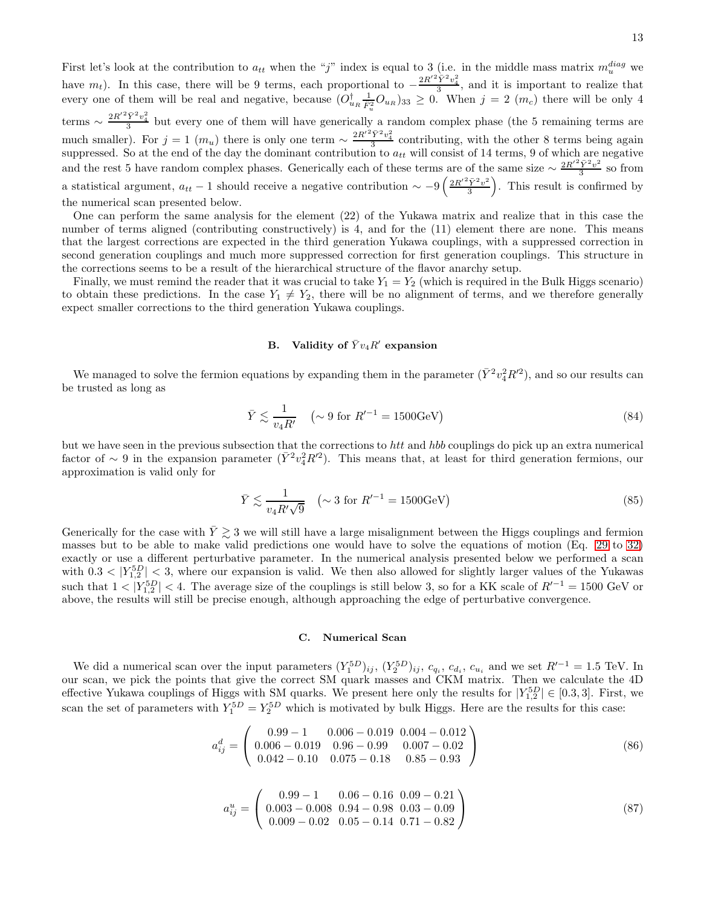First let's look at the contribution to  $a_{tt}$  when the "j" index is equal to 3 (i.e. in the middle mass matrix  $m_u^{diag}$  we have  $m_t$ ). In this case, there will be 9 terms, each proportional to  $-\frac{2R'^2\bar{Y}^2v_4^2}{3}$ , and it is important to realize that every one of them will be real and negative, because  $(O_{uR}^{\dagger} \frac{1}{\hat{F}_u^2} O_{uR})_{33} \geq 0$ . When  $j = 2 (m_c)$  there will be only 4 u terms  $\sim \frac{2R'^2\bar{Y}^2v_4^2}{3}$  but every one of them will have generically a random complex phase (the 5 remaining terms are much smaller). For  $j = 1$   $(m_u)$  there is only one term  $\sim \frac{2R'^2\bar{Y}^2v_4^2}{3}$  contributing, with the other 8 terms being again suppressed. So at the end of the day the dominant contribution to  $a_{tt}$  will consist of 14 terms, 9 of which are negative and the rest 5 have random complex phases. Generically each of these terms are of the same size  $\sim \frac{2R'^2\bar{Y}^2v^2}{3}$  $\frac{Y^2v^2}{3}$  so from a statistical argument,  $a_{tt} - 1$  should receive a negative contribution  $\sim -9\left(\frac{2R'^2\bar{Y}^2v^2}{3}\right)$  $\left(\frac{\overline{Y}^2 v^2}{3}\right)$ . This result is confirmed by the numerical scan presented below.

One can perform the same analysis for the element (22) of the Yukawa matrix and realize that in this case the number of terms aligned (contributing constructively) is 4, and for the (11) element there are none. This means that the largest corrections are expected in the third generation Yukawa couplings, with a suppressed correction in second generation couplings and much more suppressed correction for first generation couplings. This structure in the corrections seems to be a result of the hierarchical structure of the flavor anarchy setup.

Finally, we must remind the reader that it was crucial to take  $Y_1 = Y_2$  (which is required in the Bulk Higgs scenario) to obtain these predictions. In the case  $Y_1 \neq Y_2$ , there will be no alignment of terms, and we therefore generally expect smaller corrections to the third generation Yukawa couplings.

# B. Validity of  $\bar{Y}v_4R'$  expansion

We managed to solve the fermion equations by expanding them in the parameter  $(\bar{Y}^2 v_4^2 R'^2)$ , and so our results can be trusted as long as

$$
\bar{Y} \lesssim \frac{1}{v_4 R'} \quad \left(\sim 9 \text{ for } R'^{-1} = 1500 \text{GeV}\right) \tag{84}
$$

but we have seen in the previous subsection that the corrections to htt and hbb couplings do pick up an extra numerical factor of  $\sim 9$  in the expansion parameter  $(\bar{Y}^2 v_4^2 R'^2)$ . This means that, at least for third generation fermions, our approximation is valid only for

$$
\bar{Y} \lesssim \frac{1}{v_4 R' \sqrt{9}} \quad \left(\sim 3 \text{ for } R'^{-1} = 1500 \text{GeV}\right) \tag{85}
$$

Generically for the case with  $\bar{Y} \gtrsim 3$  we will still have a large misalignment between the Higgs couplings and fermion masses but to be able to make valid predictions one would have to solve the equations of motion (Eq. [29](#page-5-0) to [32\)](#page-5-0) exactly or use a different perturbative parameter. In the numerical analysis presented below we performed a scan with  $0.3 < |Y_{1,2}^{5D}| < 3$ , where our expansion is valid. We then also allowed for slightly larger values of the Yukawas such that  $1 < |Y_{1,2}^{5D}| < 4$ . The average size of the couplings is still below 3, so for a KK scale of  $R'^{-1} = 1500$  GeV or above, the results will still be precise enough, although approaching the edge of perturbative convergence.

### C. Numerical Scan

We did a numerical scan over the input parameters  $(Y_1^{5D})_{ij}$ ,  $(Y_2^{5D})_{ij}$ ,  $c_{q_i}$ ,  $c_{d_i}$ ,  $c_{u_i}$  and we set  $R'^{-1} = 1.5$  TeV. In our scan, we pick the points that give the correct SM quark masses and CKM matrix. Then we calculate the 4D effective Yukawa couplings of Higgs with SM quarks. We present here only the results for  $|Y_{1,2}^{5D}| \in [0.3,3]$ . First, we scan the set of parameters with  $Y_1^{5D} = Y_2^{5D}$  which is motivated by bulk Higgs. Here are the results for this case:

$$
a_{ij}^d = \left(\begin{array}{ccc} 0.99 - 1 & 0.006 - 0.019 & 0.004 - 0.012 \\ 0.006 - 0.019 & 0.96 - 0.99 & 0.007 - 0.02 \\ 0.042 - 0.10 & 0.075 - 0.18 & 0.85 - 0.93 \end{array}\right) \tag{86}
$$

$$
a_{ij}^{u} = \left(\begin{array}{ccc} 0.99 - 1 & 0.06 - 0.16 & 0.09 - 0.21 \\ 0.003 - 0.008 & 0.94 - 0.98 & 0.03 - 0.09 \\ 0.009 - 0.02 & 0.05 - 0.14 & 0.71 - 0.82 \end{array}\right)
$$
(87)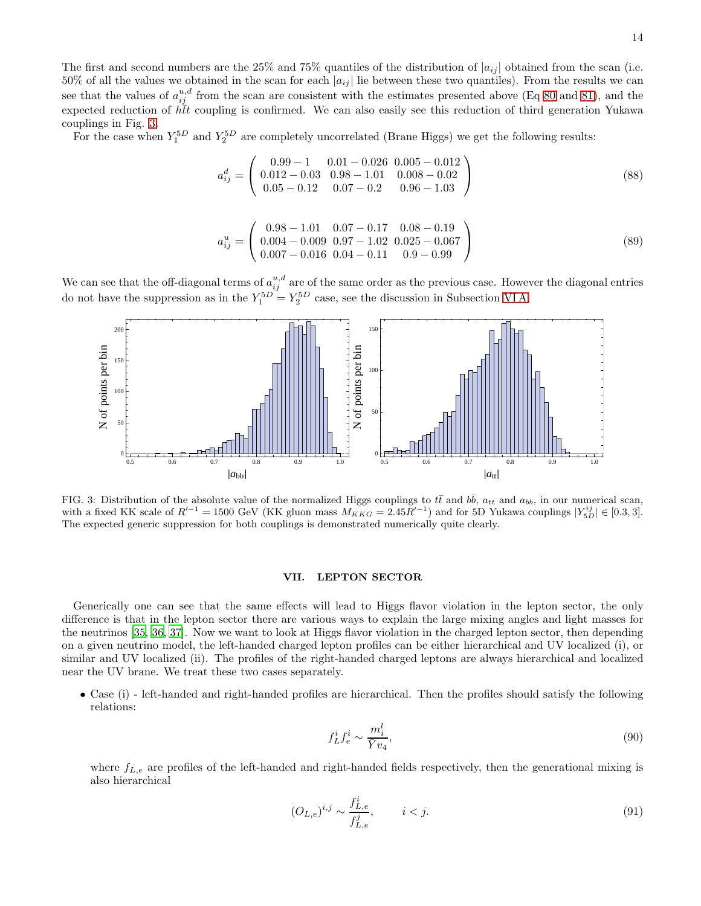The first and second numbers are the 25% and 75% quantiles of the distribution of  $|a_{ij}|$  obtained from the scan (i.e. 50% of all the values we obtained in the scan for each  $|a_{ij}|$  lie between these two quantiles). From the results we can see that the values of  $a_{ij}^{u,d}$  from the scan are consistent with the estimates presented above (Eq [80](#page-11-0) and [81\)](#page-11-1), and the expected reduction of  $h\bar{t}t$  coupling is confirmed. We can also easily see this reduction of third generation Yukawa couplings in Fig. [3.](#page-13-0)

For the case when  $Y_1^{5D}$  and  $Y_2^{5D}$  are completely uncorrelated (Brane Higgs) we get the following results:

$$
a_{ij}^d = \left(\begin{array}{rrrr} 0.99 - 1 & 0.01 - 0.026 & 0.005 - 0.012 \\ 0.012 - 0.03 & 0.98 - 1.01 & 0.008 - 0.02 \\ 0.05 - 0.12 & 0.07 - 0.2 & 0.96 - 1.03 \end{array}\right) \tag{88}
$$

$$
a_{ij}^u = \begin{pmatrix} 0.98 - 1.01 & 0.07 - 0.17 & 0.08 - 0.19 \\ 0.004 - 0.009 & 0.97 - 1.02 & 0.025 - 0.067 \\ 0.007 - 0.016 & 0.04 - 0.11 & 0.9 - 0.99 \end{pmatrix}
$$
(89)

We can see that the off-diagonal terms of  $a_{ij}^{u,d}$  are of the same order as the previous case. However the diagonal entries do not have the suppression as in the  $Y_1^{5D} = Y_2^{5D}$  case, see the discussion in Subsection VIA.



<span id="page-13-0"></span>FIG. 3: Distribution of the absolute value of the normalized Higgs couplings to  $t\bar{t}$  and  $b\bar{b}$ ,  $a_{tt}$  and  $a_{bb}$ , in our numerical scan, with a fixed KK scale of  $R'^{-1} = 1500 \text{ GeV}$  (KK gluon mass  $M_{KKG} = 2.45R'^{-1}$ ) and for 5D Yukawa couplings  $|Y_{5D}^{ij}| \in [0.3, 3]$ . The expected generic suppression for both couplings is demonstrated numerically quite clearly.

## VII. LEPTON SECTOR

Generically one can see that the same effects will lead to Higgs flavor violation in the lepton sector, the only difference is that in the lepton sector there are various ways to explain the large mixing angles and light masses for the neutrinos [\[35,](#page-20-18) [36,](#page-20-19) [37\]](#page-20-20). Now we want to look at Higgs flavor violation in the charged lepton sector, then depending on a given neutrino model, the left-handed charged lepton profiles can be either hierarchical and UV localized (i), or similar and UV localized (ii). The profiles of the right-handed charged leptons are always hierarchical and localized near the UV brane. We treat these two cases separately.

• Case (i) - left-handed and right-handed profiles are hierarchical. Then the profiles should satisfy the following relations:

$$
f_L^i f_e^i \sim \frac{m_i^l}{\bar{Y}v_4},\tag{90}
$$

where  $f_{L,e}$  are profiles of the left-handed and right-handed fields respectively, then the generational mixing is also hierarchical

$$
(O_{L,e})^{i,j} \sim \frac{f_{L,e}^i}{f_{L,e}^j}, \qquad i < j.
$$
\n(91)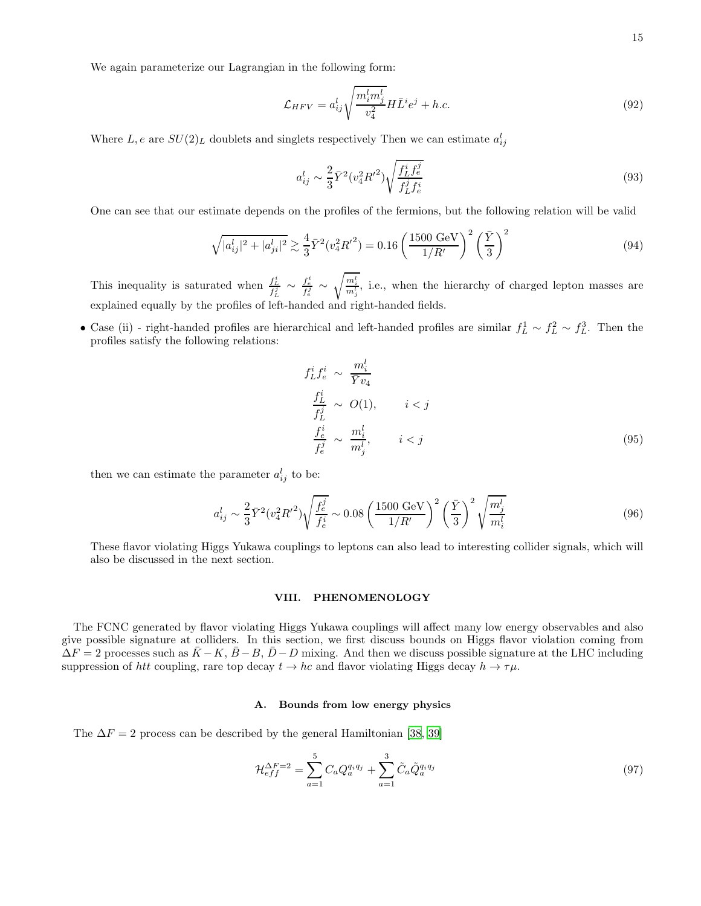We again parameterize our Lagrangian in the following form:

$$
\mathcal{L}_{HFV} = a_{ij}^l \sqrt{\frac{m_i^l m_j^l}{v_4^2}} H \bar{L}^i e^j + h.c.
$$
\n(92)

Where  $L, e$  are  $SU(2)_L$  doublets and singlets respectively Then we can estimate  $a_{ij}^l$ 

$$
a_{ij}^l \sim \frac{2}{3} \bar{Y}^2 (v_4^2 {R'}^2) \sqrt{\frac{f_L^i f_e^j}{f_L^j f_e^i}} \tag{93}
$$

One can see that our estimate depends on the profiles of the fermions, but the following relation will be valid

<span id="page-14-0"></span>
$$
\sqrt{|a_{ij}^l|^2 + |a_{ji}^l|^2} \gtrsim \frac{4}{3} \bar{Y}^2 (v_4^2 R^{\prime 2}) = 0.16 \left(\frac{1500 \text{ GeV}}{1/R^{\prime}}\right)^2 \left(\frac{\bar{Y}}{3}\right)^2 \tag{94}
$$

This inequality is saturated when  $\frac{f_L^i}{f_L^j} \sim \frac{f_e^i}{f_e^j} \sim$  $\sqrt{\frac{m_i^l}{m_j^l}}$ , i.e., when the hierarchy of charged lepton masses are explained equally by the profiles of left-handed and right-handed fields.

• Case (ii) - right-handed profiles are hierarchical and left-handed profiles are similar  $f_L^1 \sim f_L^2 \sim f_L^3$ . Then the profiles satisfy the following relations:

$$
f_L^i f_e^i \sim \frac{m_i^l}{\bar{Y} v_4}
$$
  
\n
$$
\frac{f_L^i}{f_L^j} \sim O(1), \qquad i < j
$$
  
\n
$$
\frac{f_e^i}{f_e^j} \sim \frac{m_i^l}{m_j^l}, \qquad i < j
$$
  
\n(95)

then we can estimate the parameter  $a_{ij}^l$  to be:

<span id="page-14-1"></span>
$$
a_{ij}^l \sim \frac{2}{3} \bar{Y}^2 (v_4^2 R'^2) \sqrt{\frac{f_e^j}{f_e^i}} \sim 0.08 \left(\frac{1500 \text{ GeV}}{1/R'}\right)^2 \left(\frac{\bar{Y}}{3}\right)^2 \sqrt{\frac{m_j^l}{m_i^l}}
$$
(96)

These flavor violating Higgs Yukawa couplings to leptons can also lead to interesting collider signals, which will also be discussed in the next section.

## VIII. PHENOMENOLOGY

The FCNC generated by flavor violating Higgs Yukawa couplings will affect many low energy observables and also give possible signature at colliders. In this section, we first discuss bounds on Higgs flavor violation coming from  $\Delta F = 2$  processes such as  $\bar{K} - K$ ,  $\bar{B} - B$ ,  $\bar{D} - D$  mixing. And then we discuss possible signature at the LHC including suppression of htt coupling, rare top decay  $t \to hc$  and flavor violating Higgs decay  $h \to \tau\mu$ .

## A. Bounds from low energy physics

The  $\Delta F = 2$  process can be described by the general Hamiltonian [\[38](#page-20-21), [39](#page-20-22)]

$$
\mathcal{H}_{eff}^{\Delta F=2} = \sum_{a=1}^{5} C_a Q_a^{q_i q_j} + \sum_{a=1}^{3} \tilde{C}_a \tilde{Q}_a^{q_i q_j} \tag{97}
$$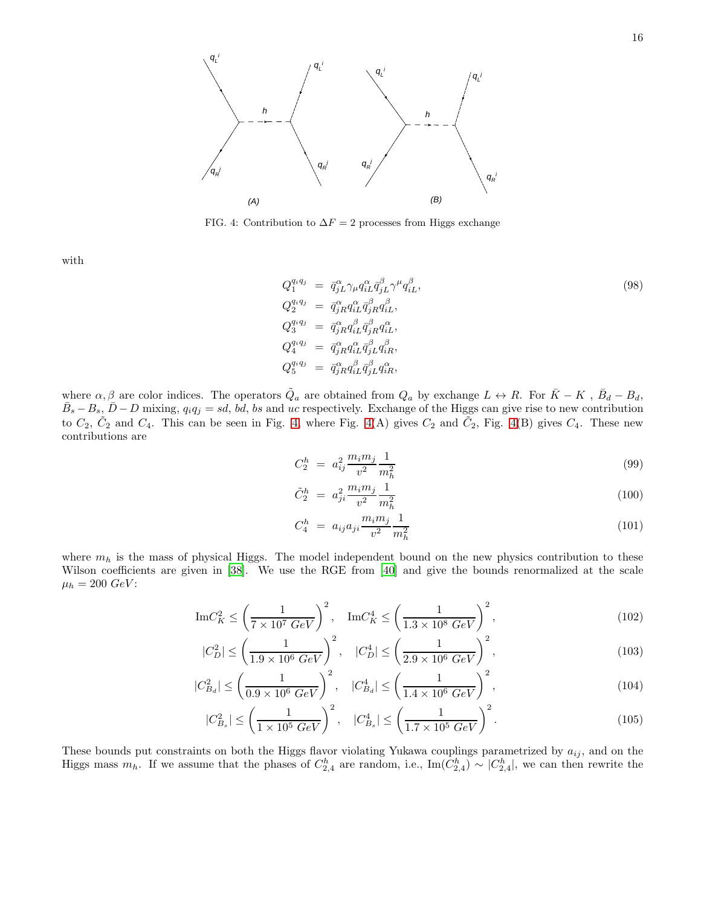

<span id="page-15-0"></span>FIG. 4: Contribution to  $\Delta F = 2$  processes from Higgs exchange

 $\overline{ }$ 

 $\overline{a}$ 

with

$$
Q_1^{q_i q_j} = \bar{q}_{jL}^{\alpha} \gamma_{\mu} q_{iL}^{\alpha} \bar{q}_{jL}^{\beta} \gamma^{\mu} q_{iL}^{\beta},
$$
  
\n
$$
Q_2^{q_i q_j} = \bar{q}_{jR}^{\alpha} q_{iL}^{\alpha} \bar{q}_{jR}^{\beta} q_{iL}^{\beta},
$$
  
\n
$$
Q_3^{q_i q_j} = \bar{q}_{jR}^{\alpha} q_{iL}^{\beta} \bar{q}_{jR}^{\beta} q_{iL}^{\alpha},
$$
  
\n
$$
Q_4^{q_i q_j} = \bar{q}_{jR}^{\alpha} q_{iL}^{\alpha} \bar{q}_{jL}^{\beta} q_{iR}^{\beta},
$$
  
\n
$$
Q_5^{q_i q_j} = \bar{q}_{jR}^{\alpha} q_{iL}^{\beta} \bar{q}_{jL}^{\beta} q_{iR}^{\alpha},
$$
  
\n(98)

where  $\alpha, \beta$  are color indices. The operators  $\tilde{Q}_a$  are obtained from  $Q_a$  by exchange  $L \leftrightarrow R$ . For  $\bar{K} - K$ ,  $\bar{B}_d - B_d$ ,  $\bar{B}_s - B_s$ ,  $\bar{D} - D$  mixing,  $q_i q_j = sd$ ,  $b\bar{d}$ ,  $bs$  and uc respectively. Exchange of the Higgs can give rise to new contribution to  $C_2$ ,  $\tilde{C}_2$  and  $C_4$ . This can be seen in Fig. [4,](#page-15-0) where Fig. [4\(](#page-15-0)A) gives  $C_2$  and  $\tilde{C}_2$ , Fig. 4(B) gives  $C_4$ . These new contributions are

$$
C_2^h = a_{ij}^2 \frac{m_i m_j}{v^2} \frac{1}{m_h^2} \tag{99}
$$

$$
\tilde{C}_2^h = a_{ji}^2 \frac{m_i m_j}{v^2} \frac{1}{m_h^2} \tag{100}
$$

$$
C_4^h = a_{ij} a_{ji} \frac{m_i m_j}{v^2} \frac{1}{m_h^2} \tag{101}
$$

where  $m_h$  is the mass of physical Higgs. The model independent bound on the new physics contribution to these Wilson coefficients are given in [\[38\]](#page-20-21). We use the RGE from [\[40\]](#page-20-23) and give the bounds renormalized at the scale  $\mu_h = 200 \; GeV$ :

$$
\operatorname{Im} C_K^2 \le \left(\frac{1}{7 \times 10^7 \ GeV}\right)^2, \quad \operatorname{Im} C_K^4 \le \left(\frac{1}{1.3 \times 10^8 \ GeV}\right)^2, \tag{102}
$$

$$
|C_D^2| \le \left(\frac{1}{1.9 \times 10^6 \text{ GeV}}\right)^2, \quad |C_D^4| \le \left(\frac{1}{2.9 \times 10^6 \text{ GeV}}\right)^2, \tag{103}
$$

$$
|C_{B_d}^2| \le \left(\frac{1}{0.9 \times 10^6 \text{ GeV}}\right)^2, \quad |C_{B_d}^4| \le \left(\frac{1}{1.4 \times 10^6 \text{ GeV}}\right)^2,\tag{104}
$$

$$
|C_{B_s}^2| \le \left(\frac{1}{1 \times 10^5 \text{ GeV}}\right)^2, \quad |C_{B_s}^4| \le \left(\frac{1}{1.7 \times 10^5 \text{ GeV}}\right)^2. \tag{105}
$$

These bounds put constraints on both the Higgs flavor violating Yukawa couplings parametrized by  $a_{ij}$ , and on the Higgs mass  $m_h$ . If we assume that the phases of  $C_{2,4}^h$  are random, i.e.,  $\text{Im}(C_{2,4}^h) \sim |C_{2,4}^h|$ , we can then rewrite the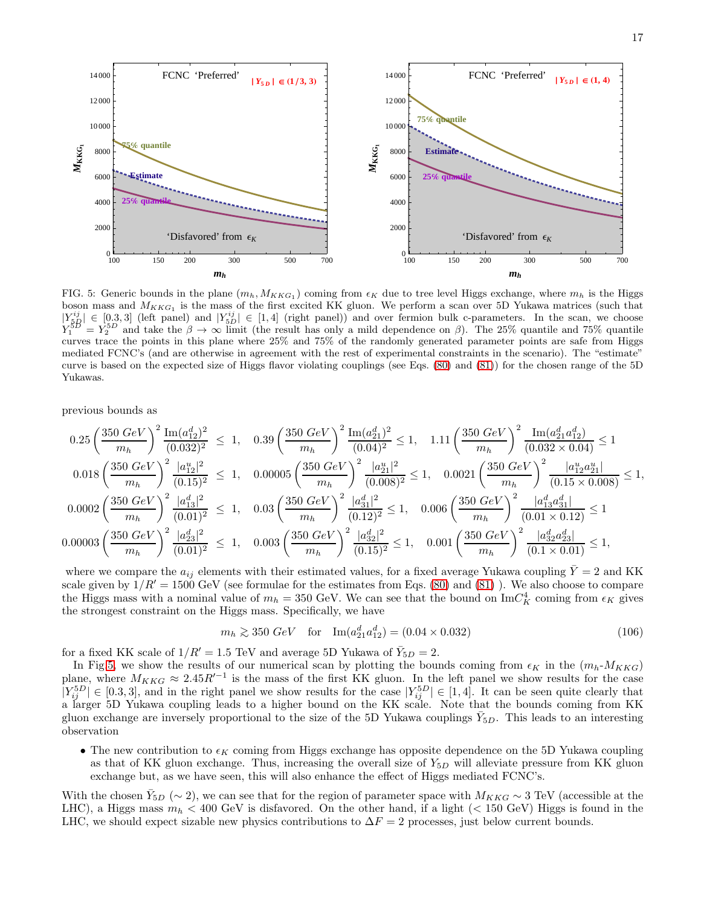

<span id="page-16-0"></span>FIG. 5: Generic bounds in the plane  $(m_h, M_{KKG_1})$  coming from  $\epsilon_K$  due to tree level Higgs exchange, where  $m_h$  is the Higgs boson mass and  $M_{KKG_1}$  is the mass of the first excited KK gluon. We perform a scan over 5D Yukawa matrices (such that  $|Y_{5R}^{ij}| \in [0.3,3]$  (left panel) and  $|Y_{5D}^{ij}| \in [1,4]$  (right panel)) and over fermion bulk c-parameters. In the scan, we choose  $Y_1^{5D} = Y_2^{5D}$  and take the  $\beta \to \infty$  limit (the result has only a mild dependence on  $\beta$ ). The 25% quantile and 75% quantile curves trace the points in this plane where 25% and 75% of the randomly generated parameter points are safe from Higgs mediated FCNC's (and are otherwise in agreement with the rest of experimental constraints in the scenario). The "estimate" curve is based on the expected size of Higgs flavor violating couplings (see Eqs. [\(80\)](#page-11-0) and [\(81\)](#page-11-1)) for the chosen range of the 5D Yukawas.

previous bounds as

$$
0.25 \left(\frac{350 \text{ GeV}}{m_h}\right)^2 \frac{\text{Im}(a_{12}^d)^2}{(0.032)^2} \le 1, \quad 0.39 \left(\frac{350 \text{ GeV}}{m_h}\right)^2 \frac{\text{Im}(a_{21}^d)^2}{(0.04)^2} \le 1, \quad 1.11 \left(\frac{350 \text{ GeV}}{m_h}\right)^2 \frac{\text{Im}(a_{21}^d a_{12}^d)}{(0.032 \times 0.04)} \le 1
$$
  

$$
0.018 \left(\frac{350 \text{ GeV}}{m_h}\right)^2 \frac{|a_{12}^u|^2}{(0.15)^2} \le 1, \quad 0.00005 \left(\frac{350 \text{ GeV}}{m_h}\right)^2 \frac{|a_{21}^u|^2}{(0.008)^2} \le 1, \quad 0.0021 \left(\frac{350 \text{ GeV}}{m_h}\right)^2 \frac{|a_{12}^u a_{21}^d|}{(0.15 \times 0.008)} \le 1,
$$
  

$$
0.0002 \left(\frac{350 \text{ GeV}}{m_h}\right)^2 \frac{|a_{13}^d|^2}{(0.01)^2} \le 1, \quad 0.03 \left(\frac{350 \text{ GeV}}{m_h}\right)^2 \frac{|a_{31}^d|^2}{(0.12)^2} \le 1, \quad 0.006 \left(\frac{350 \text{ GeV}}{m_h}\right)^2 \frac{|a_{13}^d a_{31}^d|}{(0.01 \times 0.12)} \le 1
$$
  

$$
0.00003 \left(\frac{350 \text{ GeV}}{m_h}\right)^2 \frac{|a_{23}^d|^2}{(0.01)^2} \le 1, \quad 0.003 \left(\frac{350 \text{ GeV}}{m_h}\right)^2 \frac{|a_{32}^d|^2}{(0.15)^2} \le 1, \quad 0.001 \left(\frac{350 \text{ GeV}}{m_h}\right)^2 \frac{|a_{32}^d a_{23}^d|}{(0.1 \times 0.01)} \le 1,
$$

where we compare the  $a_{ij}$  elements with their estimated values, for a fixed average Yukawa coupling  $\bar{Y}=2$  and KK scale given by  $1/R' = 1500 \text{ GeV}$  (see formulae for the estimates from Eqs. [\(80\)](#page-11-0) and [\(81\)](#page-11-1)). We also choose to compare the Higgs mass with a nominal value of  $m_h = 350$  GeV. We can see that the bound on  $\text{Im}C_K^4$  coming from  $\epsilon_K$  gives the strongest constraint on the Higgs mass. Specifically, we have

$$
m_h \gtrsim 350 \; GeV \quad \text{for} \quad \text{Im}(a_{21}^d a_{12}^d) = (0.04 \times 0.032) \tag{106}
$$

for a fixed KK scale of  $1/R' = 1.5$  TeV and average 5D Yukawa of  $\bar{Y}_{5D} = 2$ .

In Fig[.5,](#page-16-0) we show the results of our numerical scan by plotting the bounds coming from  $\epsilon_K$  in the  $(m_h-M_{KKG})$ plane, where  $M_{KKG} \approx 2.45 R'^{-1}$  is the mass of the first KK gluon. In the left panel we show results for the case  $|Y_{ij}^{5D}| \in [0.3,3]$ , and in the right panel we show results for the case  $|Y_{ij}^{5D}| \in [1,4]$ . It can be seen quite clearly that a larger 5D Yukawa coupling leads to a higher bound on the KK scale. Note that the bounds coming from KK gluon exchange are inversely proportional to the size of the 5D Yukawa couplings  $\bar{Y}_{5D}$ . This leads to an interesting observation

• The new contribution to  $\epsilon_K$  coming from Higgs exchange has opposite dependence on the 5D Yukawa coupling as that of KK gluon exchange. Thus, increasing the overall size of  $Y_{5D}$  will alleviate pressure from KK gluon exchange but, as we have seen, this will also enhance the effect of Higgs mediated FCNC's.

With the chosen  $\bar{Y}_{5D}$  (∼ 2), we can see that for the region of parameter space with  $M_{KKG} \sim 3$  TeV (accessible at the LHC), a Higgs mass  $m_h < 400$  GeV is disfavored. On the other hand, if a light ( $< 150$  GeV) Higgs is found in the LHC, we should expect sizable new physics contributions to  $\Delta F = 2$  processes, just below current bounds.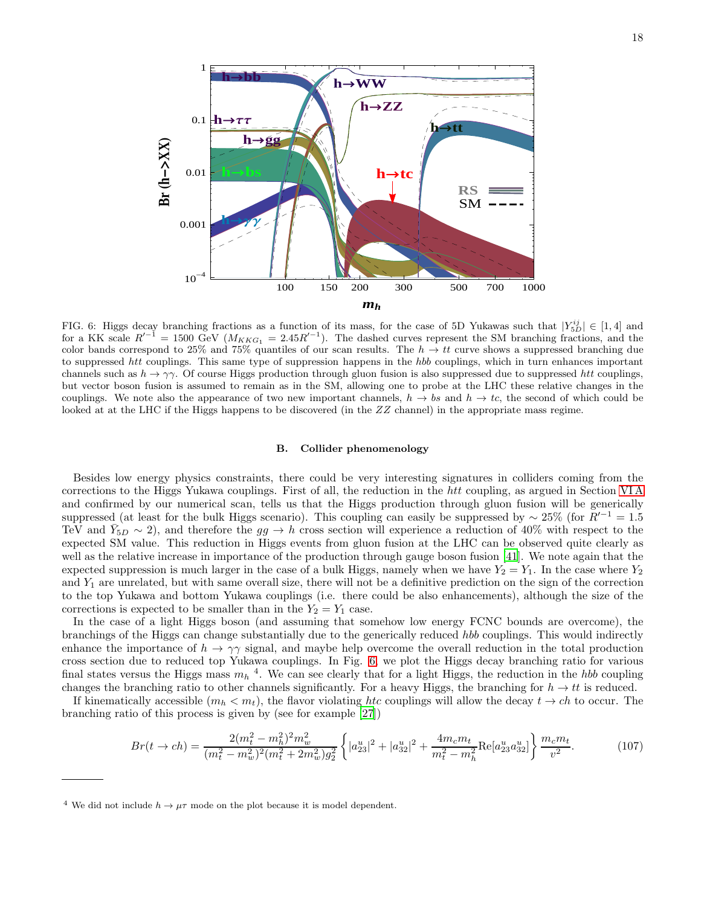

<span id="page-17-0"></span>FIG. 6: Higgs decay branching fractions as a function of its mass, for the case of 5D Yukawas such that  $|Y_{5D}^{ij}| \in [1,4]$  and for a KK scale  $R'^{-1} = 1500 \text{ GeV } (M_{KKG_1} = 2.45 R'^{-1})$ . The dashed curves represent the SM branching fractions, and the color bands correspond to 25% and 75% quantiles of our scan results. The  $h \to tt$  curve shows a suppressed branching due to suppressed htt couplings. This same type of suppression happens in the hbb couplings, which in turn enhances important channels such as  $h \to \gamma\gamma$ . Of course Higgs production through gluon fusion is also suppressed due to suppressed htt couplings, but vector boson fusion is assumed to remain as in the SM, allowing one to probe at the LHC these relative changes in the couplings. We note also the appearance of two new important channels,  $h \to b\bar{s}$  and  $h \to tc$ , the second of which could be looked at at the LHC if the Higgs happens to be discovered (in the ZZ channel) in the appropriate mass regime.

#### B. Collider phenomenology

Besides low energy physics constraints, there could be very interesting signatures in colliders coming from the corrections to the Higgs Yukawa couplings. First of all, the reduction in the htt coupling, as argued in Section [VI A](#page-11-2) and confirmed by our numerical scan, tells us that the Higgs production through gluon fusion will be generically suppressed (at least for the bulk Higgs scenario). This coupling can easily be suppressed by  $\sim 25\%$  (for  $R'^{-1} = 1.5$ ) TeV and  $\overline{Y}_{5D} \sim 2$ ), and therefore the  $gg \to h$  cross section will experience a reduction of 40% with respect to the expected SM value. This reduction in Higgs events from gluon fusion at the LHC can be observed quite clearly as well as the relative increase in importance of the production through gauge boson fusion [\[41](#page-20-24)]. We note again that the expected suppression is much larger in the case of a bulk Higgs, namely when we have  $Y_2 = Y_1$ . In the case where  $Y_2$ and  $Y_1$  are unrelated, but with same overall size, there will not be a definitive prediction on the sign of the correction to the top Yukawa and bottom Yukawa couplings (i.e. there could be also enhancements), although the size of the corrections is expected to be smaller than in the  $Y_2 = Y_1$  case.

In the case of a light Higgs boson (and assuming that somehow low energy FCNC bounds are overcome), the branchings of the Higgs can change substantially due to the generically reduced hbb couplings. This would indirectly enhance the importance of  $h \to \gamma\gamma$  signal, and maybe help overcome the overall reduction in the total production cross section due to reduced top Yukawa couplings. In Fig. [6,](#page-17-0) we plot the Higgs decay branching ratio for various final states versus the Higgs mass  $m_h$ <sup>4</sup>. We can see clearly that for a light Higgs, the reduction in the *hbb* coupling changes the branching ratio to other channels significantly. For a heavy Higgs, the branching for  $h \to tt$  is reduced.

If kinematically accessible  $(m_h < m_t)$ , the flavor violating htc couplings will allow the decay  $t \to ch$  to occur. The branching ratio of this process is given by (see for example [\[27\]](#page-20-9))

$$
Br(t \to ch) = \frac{2(m_t^2 - m_h^2)^2 m_w^2}{(m_t^2 - m_w^2)^2 (m_t^2 + 2m_w^2) g_2^2} \left\{ |a_{23}^u|^2 + |a_{32}^u|^2 + \frac{4m_c m_t}{m_t^2 - m_h^2} \text{Re}[a_{23}^u a_{32}^u] \right\} \frac{m_c m_t}{v^2}.
$$
 (107)

<sup>&</sup>lt;sup>4</sup> We did not include  $h \to \mu\tau$  mode on the plot because it is model dependent.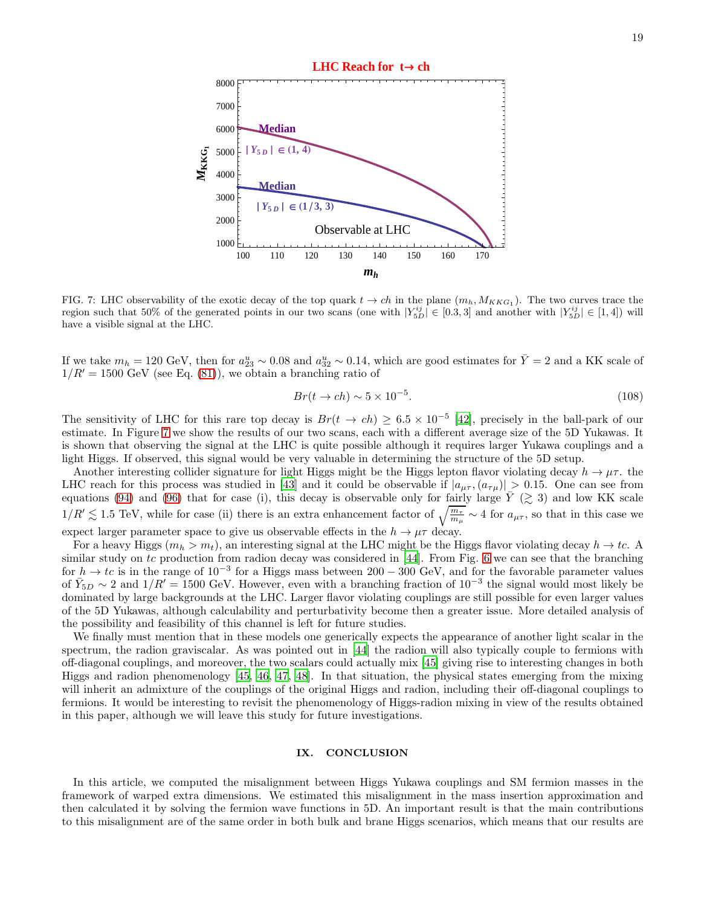

<span id="page-18-0"></span>FIG. 7: LHC observability of the exotic decay of the top quark  $t \to ch$  in the plane  $(m_h, M_{KKG_1})$ . The two curves trace the region such that 50% of the generated points in our two scans (one with  $|Y_{5D}^{ij}| \in [0.3,3]$  and another with  $|Y_{5D}^{ij}| \in [1,4]$ ) will have a visible signal at the LHC.

If we take  $m_h = 120 \text{ GeV}$ , then for  $a_{23}^u \sim 0.08$  and  $a_{32}^u \sim 0.14$ , which are good estimates for  $\bar{Y} = 2$  and a KK scale of  $1/R' = 1500 \text{ GeV}$  (see Eq. [\(81\)](#page-11-1)), we obtain a branching ratio of

$$
Br(t \to ch) \sim 5 \times 10^{-5}.\tag{108}
$$

The sensitivity of LHC for this rare top decay is  $Br(t \to ch) \geq 6.5 \times 10^{-5}$  [\[42\]](#page-20-25), precisely in the ball-park of our estimate. In Figure [7](#page-18-0) we show the results of our two scans, each with a different average size of the 5D Yukawas. It is shown that observing the signal at the LHC is quite possible although it requires larger Yukawa couplings and a light Higgs. If observed, this signal would be very valuable in determining the structure of the 5D setup.

Another interesting collider signature for light Higgs might be the Higgs lepton flavor violating decay  $h \to \mu\tau$ . the LHC reach for this process was studied in [\[43](#page-20-26)] and it could be observable if  $|a_{\mu\tau}$ ,  $(a_{\tau\mu})| > 0.15$ . One can see from equations [\(94\)](#page-14-0) and [\(96\)](#page-14-1) that for case (i), this decay is observable only for fairly large  $\overline{Y}$  ( $\gtrsim$  3) and low KK scale  $1/R' \lesssim 1.5 \text{ TeV}$ , while for case (ii) there is an extra enhancement factor of  $\sqrt{\frac{m_{\tau}}{m_{\mu}}} \sim 4$  for  $a_{\mu\tau}$ , so that in this case we expect larger parameter space to give us observable effects in the  $h \to \mu\tau$  decay.

For a heavy Higgs  $(m_h > m_t)$ , an interesting signal at the LHC might be the Higgs flavor violating decay  $h \to tc$ . similar study on tc production from radion decay was considered in  $[44]$ . From Fig. [6](#page-17-0) we can see that the branching for  $h \to tc$  is in the range of  $10^{-3}$  for a Higgs mass between  $200 - 300$  GeV, and for the favorable parameter values of  $\bar{Y}_{5D} \sim 2$  and  $1/R' = 1500$  GeV. However, even with a branching fraction of  $10^{-3}$  the signal would most likely be dominated by large backgrounds at the LHC. Larger flavor violating couplings are still possible for even larger values of the 5D Yukawas, although calculability and perturbativity become then a greater issue. More detailed analysis of the possibility and feasibility of this channel is left for future studies.

We finally must mention that in these models one generically expects the appearance of another light scalar in the spectrum, the radion graviscalar. As was pointed out in [\[44\]](#page-20-27) the radion will also typically couple to fermions with off-diagonal couplings, and moreover, the two scalars could actually mix [\[45\]](#page-20-28) giving rise to interesting changes in both Higgs and radion phenomenology [\[45,](#page-20-28) [46,](#page-20-29) [47,](#page-20-30) [48\]](#page-20-31). In that situation, the physical states emerging from the mixing will inherit an admixture of the couplings of the original Higgs and radion, including their off-diagonal couplings to fermions. It would be interesting to revisit the phenomenology of Higgs-radion mixing in view of the results obtained in this paper, although we will leave this study for future investigations.

## IX. CONCLUSION

In this article, we computed the misalignment between Higgs Yukawa couplings and SM fermion masses in the framework of warped extra dimensions. We estimated this misalignment in the mass insertion approximation and then calculated it by solving the fermion wave functions in 5D. An important result is that the main contributions to this misalignment are of the same order in both bulk and brane Higgs scenarios, which means that our results are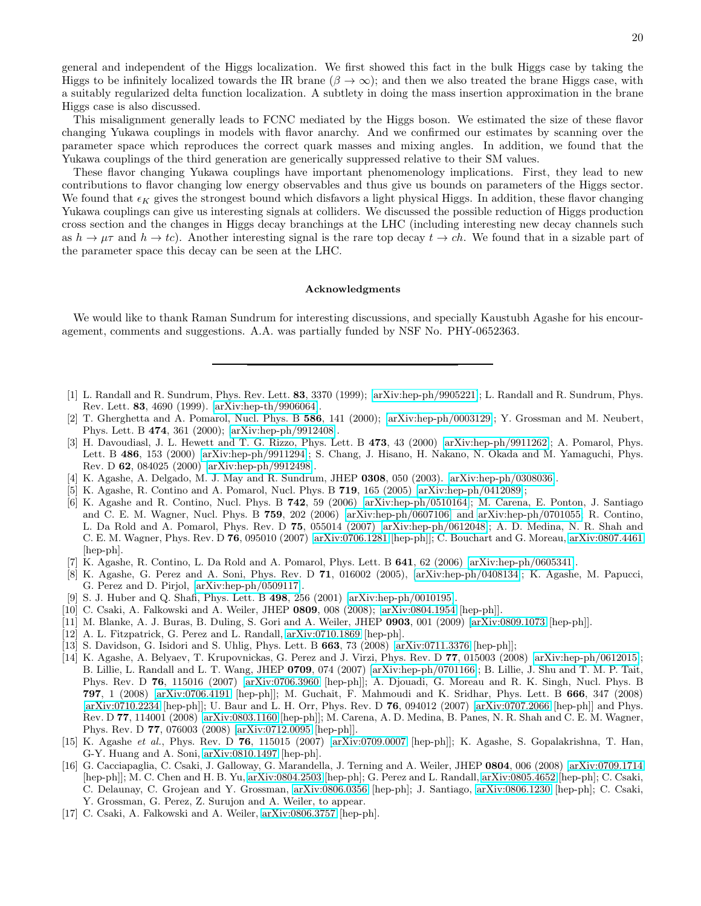20

general and independent of the Higgs localization. We first showed this fact in the bulk Higgs case by taking the Higgs to be infinitely localized towards the IR brane ( $\beta \to \infty$ ); and then we also treated the brane Higgs case, with a suitably regularized delta function localization. A subtlety in doing the mass insertion approximation in the brane Higgs case is also discussed.

This misalignment generally leads to FCNC mediated by the Higgs boson. We estimated the size of these flavor changing Yukawa couplings in models with flavor anarchy. And we confirmed our estimates by scanning over the parameter space which reproduces the correct quark masses and mixing angles. In addition, we found that the Yukawa couplings of the third generation are generically suppressed relative to their SM values.

These flavor changing Yukawa couplings have important phenomenology implications. First, they lead to new contributions to flavor changing low energy observables and thus give us bounds on parameters of the Higgs sector. We found that  $\epsilon_K$  gives the strongest bound which disfavors a light physical Higgs. In addition, these flavor changing Yukawa couplings can give us interesting signals at colliders. We discussed the possible reduction of Higgs production cross section and the changes in Higgs decay branchings at the LHC (including interesting new decay channels such as  $h \to \mu\tau$  and  $h \to tc$ ). Another interesting signal is the rare top decay  $t \to ch$ . We found that in a sizable part of the parameter space this decay can be seen at the LHC.

#### Acknowledgments

We would like to thank Raman Sundrum for interesting discussions, and specially Kaustubh Agashe for his encouragement, comments and suggestions. A.A. was partially funded by NSF No. PHY-0652363.

- <span id="page-19-0"></span>[1] L. Randall and R. Sundrum, Phys. Rev. Lett. 83, 3370 (1999); [\[arXiv:hep-ph/9905221\]](http://arxiv.org/abs/hep-ph/9905221); L. Randall and R. Sundrum, Phys. Rev. Lett. 83, 4690 (1999). [\[arXiv:hep-th/9906064\]](http://arxiv.org/abs/hep-th/9906064).
- <span id="page-19-1"></span>[2] T. Gherghetta and A. Pomarol, Nucl. Phys. B 586, 141 (2000); [\[arXiv:hep-ph/0003129\]](http://arxiv.org/abs/hep-ph/0003129); Y. Grossman and M. Neubert, Phys. Lett. B 474, 361 (2000); [\[arXiv:hep-ph/9912408\]](http://arxiv.org/abs/hep-ph/9912408).
- <span id="page-19-2"></span>[3] H. Davoudiasl, J. L. Hewett and T. G. Rizzo, Phys. Lett. B 473, 43 (2000) [\[arXiv:hep-ph/9911262\]](http://arxiv.org/abs/hep-ph/9911262); A. Pomarol, Phys. Lett. B 486, 153 (2000) [\[arXiv:hep-ph/9911294\]](http://arxiv.org/abs/hep-ph/9911294); S. Chang, J. Hisano, H. Nakano, N. Okada and M. Yamaguchi, Phys. Rev. D 62, 084025 (2000) [\[arXiv:hep-ph/9912498\]](http://arxiv.org/abs/hep-ph/9912498).
- <span id="page-19-3"></span>[4] K. Agashe, A. Delgado, M. J. May and R. Sundrum, JHEP 0308, 050 (2003). [\[arXiv:hep-ph/0308036\]](http://arxiv.org/abs/hep-ph/0308036).
- <span id="page-19-4"></span>[5] K. Agashe, R. Contino and A. Pomarol, Nucl. Phys. B 719, 165 (2005) [\[arXiv:hep-ph/0412089\]](http://arxiv.org/abs/hep-ph/0412089);
- <span id="page-19-5"></span>[6] K. Agashe and R. Contino, Nucl. Phys. B 742, 59 (2006) [\[arXiv:hep-ph/0510164\]](http://arxiv.org/abs/hep-ph/0510164); M. Carena, E. Ponton, J. Santiago and C. E. M. Wagner, Nucl. Phys. B 759, 202 (2006) [\[arXiv:hep-ph/0607106\]](http://arxiv.org/abs/hep-ph/0607106) and [arXiv:hep-ph/0701055;](http://arxiv.org/abs/hep-ph/0701055) R. Contino, L. Da Rold and A. Pomarol, Phys. Rev. D 75, 055014 (2007) [\[arXiv:hep-ph/0612048\]](http://arxiv.org/abs/hep-ph/0612048); A. D. Medina, N. R. Shah and C. E. M. Wagner, Phys. Rev. D 76, 095010 (2007) [\[arXiv:0706.1281](http://arxiv.org/abs/0706.1281) [hep-ph]]; C. Bouchart and G. Moreau, [arXiv:0807.4461](http://arxiv.org/abs/0807.4461) [hep-ph].
- <span id="page-19-6"></span>[7] K. Agashe, R. Contino, L. Da Rold and A. Pomarol, Phys. Lett. B 641, 62 (2006) [\[arXiv:hep-ph/0605341\]](http://arxiv.org/abs/hep-ph/0605341).
- <span id="page-19-7"></span>[8] K. Agashe, G. Perez and A. Soni, Phys. Rev. D 71, 016002 (2005), [\[arXiv:hep-ph/0408134\]](http://arxiv.org/abs/hep-ph/0408134); K. Agashe, M. Papucci, G. Perez and D. Pirjol, [\[arXiv:hep-ph/0509117\]](http://arxiv.org/abs/hep-ph/0509117).
- <span id="page-19-8"></span>[9] S. J. Huber and Q. Shafi, Phys. Lett. B 498, 256 (2001) [\[arXiv:hep-ph/0010195\]](http://arxiv.org/abs/hep-ph/0010195).
- <span id="page-19-9"></span>[10] C. Csaki, A. Falkowski and A. Weiler, JHEP 0809, 008 (2008); [\[arXiv:0804.1954](http://arxiv.org/abs/0804.1954) [hep-ph]].
- <span id="page-19-10"></span>[11] M. Blanke, A. J. Buras, B. Duling, S. Gori and A. Weiler, JHEP 0903, 001 (2009) [\[arXiv:0809.1073](http://arxiv.org/abs/0809.1073) [hep-ph]].
- <span id="page-19-11"></span>[12] A. L. Fitzpatrick, G. Perez and L. Randall, [arXiv:0710.1869](http://arxiv.org/abs/0710.1869) [hep-ph].
- <span id="page-19-12"></span>[13] S. Davidson, G. Isidori and S. Uhlig, Phys. Lett. B 663, 73 (2008) [\[arXiv:0711.3376](http://arxiv.org/abs/0711.3376) [hep-ph]];
- <span id="page-19-13"></span>[14] K. Agashe, A. Belyaev, T. Krupovnickas, G. Perez and J. Virzi, Phys. Rev. D 77, 015003 (2008) [\[arXiv:hep-ph/0612015\]](http://arxiv.org/abs/hep-ph/0612015); B. Lillie, L. Randall and L. T. Wang, JHEP 0709, 074 (2007) [\[arXiv:hep-ph/0701166\]](http://arxiv.org/abs/hep-ph/0701166); B. Lillie, J. Shu and T. M. P. Tait, Phys. Rev. D 76, 115016 (2007) [\[arXiv:0706.3960](http://arxiv.org/abs/0706.3960) [hep-ph]]; A. Djouadi, G. Moreau and R. K. Singh, Nucl. Phys. B 797, 1 (2008) [\[arXiv:0706.4191](http://arxiv.org/abs/0706.4191) [hep-ph]]; M. Guchait, F. Mahmoudi and K. Sridhar, Phys. Lett. B 666, 347 (2008) [\[arXiv:0710.2234](http://arxiv.org/abs/0710.2234) [hep-ph]]; U. Baur and L. H. Orr, Phys. Rev. D 76, 094012 (2007) [\[arXiv:0707.2066](http://arxiv.org/abs/0707.2066) [hep-ph]] and Phys. Rev. D 77, 114001 (2008) [\[arXiv:0803.1160](http://arxiv.org/abs/0803.1160) [hep-ph]]; M. Carena, A. D. Medina, B. Panes, N. R. Shah and C. E. M. Wagner, Phys. Rev. D 77, 076003 (2008) [\[arXiv:0712.0095](http://arxiv.org/abs/0712.0095) [hep-ph]].
- <span id="page-19-14"></span>[15] K. Agashe et al., Phys. Rev. D 76, 115015 (2007) [\[arXiv:0709.0007](http://arxiv.org/abs/0709.0007) [hep-ph]]; K. Agashe, S. Gopalakrishna, T. Han, G-Y. Huang and A. Soni, [arXiv:0810.1497](http://arxiv.org/abs/0810.1497) [hep-ph].
- <span id="page-19-15"></span>[16] G. Cacciapaglia, C. Csaki, J. Galloway, G. Marandella, J. Terning and A. Weiler, JHEP 0804, 006 (2008) [\[arXiv:0709.1714](http://arxiv.org/abs/0709.1714) [hep-ph]]; M. C. Chen and H. B. Yu, [arXiv:0804.2503](http://arxiv.org/abs/0804.2503) [hep-ph]; G. Perez and L. Randall, [arXiv:0805.4652](http://arxiv.org/abs/0805.4652) [hep-ph]; C. Csaki, C. Delaunay, C. Grojean and Y. Grossman, [arXiv:0806.0356](http://arxiv.org/abs/0806.0356) [hep-ph]; J. Santiago, [arXiv:0806.1230](http://arxiv.org/abs/0806.1230) [hep-ph]; C. Csaki, Y. Grossman, G. Perez, Z. Surujon and A. Weiler, to appear.
- <span id="page-19-16"></span>[17] C. Csaki, A. Falkowski and A. Weiler, [arXiv:0806.3757](http://arxiv.org/abs/0806.3757) [hep-ph].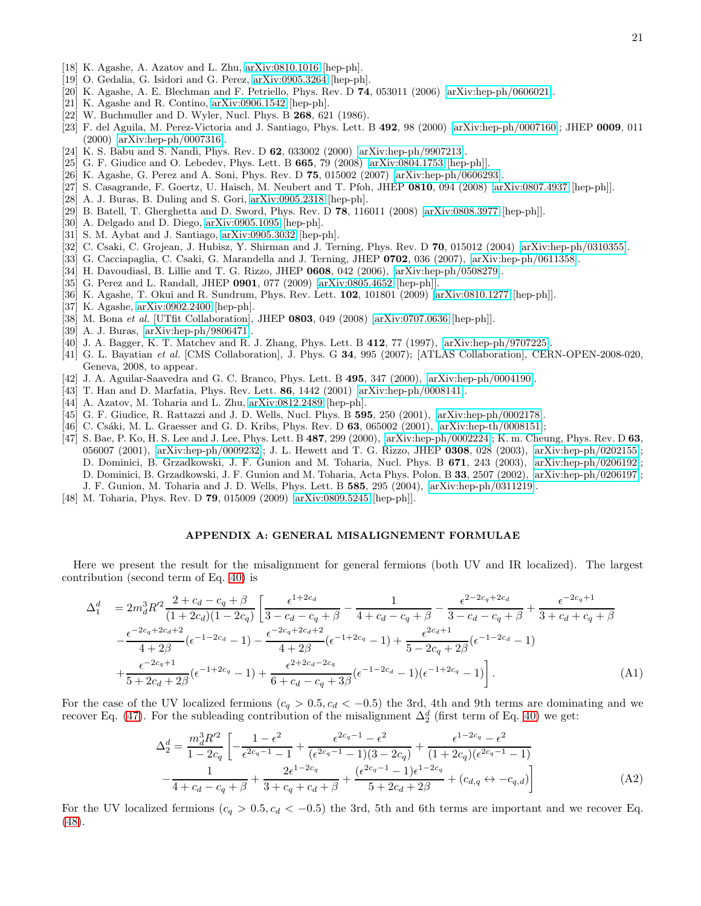- <span id="page-20-0"></span>[18] K. Agashe, A. Azatov and L. Zhu, [arXiv:0810.1016](http://arxiv.org/abs/0810.1016) [hep-ph].
- <span id="page-20-1"></span>[19] O. Gedalia, G. Isidori and G. Perez, [arXiv:0905.3264](http://arxiv.org/abs/0905.3264) [hep-ph].
- <span id="page-20-2"></span>[20] K. Agashe, A. E. Blechman and F. Petriello, Phys. Rev. D 74, 053011 (2006) [\[arXiv:hep-ph/0606021\]](http://arxiv.org/abs/hep-ph/0606021).
- <span id="page-20-3"></span>[21] K. Agashe and R. Contino, [arXiv:0906.1542](http://arxiv.org/abs/0906.1542) [hep-ph].
- <span id="page-20-4"></span>[22] W. Buchmuller and D. Wyler, Nucl. Phys. B **268**, 621 (1986).
- <span id="page-20-5"></span>[23] F. del Aguila, M. Perez-Victoria and J. Santiago, Phys. Lett. B 492, 98 (2000) [\[arXiv:hep-ph/0007160\]](http://arxiv.org/abs/hep-ph/0007160); JHEP 0009, 011 (2000) [\[arXiv:hep-ph/0007316\]](http://arxiv.org/abs/hep-ph/0007316).
- <span id="page-20-6"></span>[24] K. S. Babu and S. Nandi, Phys. Rev. D 62, 033002 (2000) [\[arXiv:hep-ph/9907213\]](http://arxiv.org/abs/hep-ph/9907213).
- <span id="page-20-7"></span>[25] G. F. Giudice and O. Lebedev, Phys. Lett. B 665, 79 (2008) [\[arXiv:0804.1753](http://arxiv.org/abs/0804.1753) [hep-ph]].
- <span id="page-20-8"></span>[26] K. Agashe, G. Perez and A. Soni, Phys. Rev. D 75, 015002 (2007) [\[arXiv:hep-ph/0606293\]](http://arxiv.org/abs/hep-ph/0606293).
- <span id="page-20-9"></span>[27] S. Casagrande, F. Goertz, U. Haisch, M. Neubert and T. Pfoh, JHEP 0810, 094 (2008) [\[arXiv:0807.4937](http://arxiv.org/abs/0807.4937) [hep-ph]].
- <span id="page-20-10"></span>[28] A. J. Buras, B. Duling and S. Gori, [arXiv:0905.2318](http://arxiv.org/abs/0905.2318) [hep-ph].
- <span id="page-20-14"></span>[29] B. Batell, T. Gherghetta and D. Sword, Phys. Rev. D 78, 116011 (2008) [\[arXiv:0808.3977](http://arxiv.org/abs/0808.3977) [hep-ph]].
- <span id="page-20-15"></span>[30] A. Delgado and D. Diego, [arXiv:0905.1095](http://arxiv.org/abs/0905.1095) [hep-ph].
- <span id="page-20-16"></span>[31] S. M. Aybat and J. Santiago, [arXiv:0905.3032](http://arxiv.org/abs/0905.3032) [hep-ph].
- <span id="page-20-11"></span>[32] C. Csaki, C. Grojean, J. Hubisz, Y. Shirman and J. Terning, Phys. Rev. D  $70$ , 015012 (2004) [\[arXiv:hep-ph/0310355\]](http://arxiv.org/abs/hep-ph/0310355).
- <span id="page-20-12"></span>[33] G. Cacciapaglia, C. Csaki, G. Marandella and J. Terning, JHEP 0702, 036 (2007), [\[arXiv:hep-ph/0611358\]](http://arxiv.org/abs/hep-ph/0611358).
- <span id="page-20-13"></span>[34] H. Davoudiasl, B. Lillie and T. G. Rizzo, JHEP 0608, 042 (2006), [\[arXiv:hep-ph/0508279\]](http://arxiv.org/abs/hep-ph/0508279).
- <span id="page-20-18"></span>[35] G. Perez and L. Randall, JHEP 0901, 077 (2009) [\[arXiv:0805.4652](http://arxiv.org/abs/0805.4652) [hep-ph]].
- <span id="page-20-19"></span>[36] K. Agashe, T. Okui and R. Sundrum, Phys. Rev. Lett. 102, 101801 (2009) [\[arXiv:0810.1277](http://arxiv.org/abs/0810.1277) [hep-ph]].
- <span id="page-20-20"></span>[37] K. Agashe, [arXiv:0902.2400](http://arxiv.org/abs/0902.2400) [hep-ph].
- <span id="page-20-21"></span>[38] M. Bona et al. [UTfit Collaboration], JHEP 0803, 049 (2008) [\[arXiv:0707.0636](http://arxiv.org/abs/0707.0636) [hep-ph]].
- <span id="page-20-22"></span>[39] A. J. Buras, [\[arXiv:hep-ph/9806471\]](http://arxiv.org/abs/hep-ph/9806471).
- <span id="page-20-23"></span>[40] J. A. Bagger, K. T. Matchev and R. J. Zhang, Phys. Lett. B 412, 77 (1997), [\[arXiv:hep-ph/9707225\]](http://arxiv.org/abs/hep-ph/9707225).
- <span id="page-20-24"></span>[41] G. L. Bayatian et al. [CMS Collaboration], J. Phys. G 34, 995 (2007); [ATLAS Collaboration], CERN-OPEN-2008-020, Geneva, 2008, to appear.
- <span id="page-20-25"></span>[42] J. A. Aguilar-Saavedra and G. C. Branco, Phys. Lett. B 495, 347 (2000), [\[arXiv:hep-ph/0004190\]](http://arxiv.org/abs/hep-ph/0004190).
- <span id="page-20-26"></span>[43] T. Han and D. Marfatia, Phys. Rev. Lett. 86, 1442 (2001) [\[arXiv:hep-ph/0008141\]](http://arxiv.org/abs/hep-ph/0008141).
- <span id="page-20-27"></span>[44] A. Azatov, M. Toharia and L. Zhu, [arXiv:0812.2489](http://arxiv.org/abs/0812.2489) [hep-ph].
- <span id="page-20-28"></span>[45] G. F. Giudice, R. Rattazzi and J. D. Wells, Nucl. Phys. B 595, 250 (2001), [\[arXiv:hep-ph/0002178\]](http://arxiv.org/abs/hep-ph/0002178).
- <span id="page-20-29"></span>[46] C. Csáki, M. L. Graesser and G. D. Kribs, Phys. Rev. D 63, 065002 (2001), [\[arXiv:hep-th/0008151\]](http://arxiv.org/abs/hep-th/0008151);
- <span id="page-20-30"></span>[47] S. Bae, P. Ko, H. S. Lee and J. Lee, Phys. Lett. B 487, 299 (2000), [\[arXiv:hep-ph/0002224\]](http://arxiv.org/abs/hep-ph/0002224); K. m. Cheung, Phys. Rev. D 63, 056007 (2001), [\[arXiv:hep-ph/0009232\]](http://arxiv.org/abs/hep-ph/0009232); J. L. Hewett and T. G. Rizzo, JHEP 0308, 028 (2003), [\[arXiv:hep-ph/0202155\]](http://arxiv.org/abs/hep-ph/0202155); D. Dominici, B. Grzadkowski, J. F. Gunion and M. Toharia, Nucl. Phys. B 671, 243 (2003), [\[arXiv:hep-ph/0206192\]](http://arxiv.org/abs/hep-ph/0206192); D. Dominici, B. Grzadkowski, J. F. Gunion and M. Toharia, Acta Phys. Polon. B 33, 2507 (2002), [\[arXiv:hep-ph/0206197\]](http://arxiv.org/abs/hep-ph/0206197); J. F. Gunion, M. Toharia and J. D. Wells, Phys. Lett. B 585, 295 (2004), [\[arXiv:hep-ph/0311219\]](http://arxiv.org/abs/hep-ph/0311219).
- <span id="page-20-31"></span>[48] M. Toharia, Phys. Rev. D 79, 015009 (2009) [\[arXiv:0809.5245](http://arxiv.org/abs/0809.5245) [hep-ph]].

# <span id="page-20-17"></span>APPENDIX A: GENERAL MISALIGNEMENT FORMULAE

Here we present the result for the misalignment for general fermions (both UV and IR localized). The largest contribution (second term of Eq. [40\)](#page-6-2) is

$$
\Delta_{1}^{d} = 2m_{d}^{3}R'^{2}\frac{2+c_{d}-c_{q}+\beta}{(1+2c_{d})(1-2c_{q})}\left[\frac{\epsilon^{1+2c_{d}}}{3-c_{d}-c_{q}+\beta}-\frac{1}{4+c_{d}-c_{q}+\beta}-\frac{\epsilon^{2-2c_{q}+2c_{d}}}{3-c_{d}-c_{q}+\beta}+\frac{\epsilon^{-2c_{q}+1}}{3+c_{d}+c_{q}+\beta}\right]
$$
\n
$$
-\frac{\epsilon^{-2c_{q}+2c_{d}+2}}{4+2\beta}(\epsilon^{-1-2c_{d}}-1)-\frac{\epsilon^{-2c_{q}+2c_{d}+2}}{4+2\beta}(\epsilon^{-1+2c_{q}}-1)+\frac{\epsilon^{2c_{d}+1}}{5-2c_{q}+2\beta}(\epsilon^{-1-2c_{d}}-1)
$$
\n
$$
+\frac{\epsilon^{-2c_{q}+1}}{5+2c_{d}+2\beta}(\epsilon^{-1+2c_{q}}-1)+\frac{\epsilon^{2+2c_{d}-2c_{q}}}{6+c_{d}-c_{q}+3\beta}(\epsilon^{-1-2c_{d}}-1)(\epsilon^{-1+2c_{q}}-1)\right].
$$
\n(A1)

For the case of the UV localized fermions  $(c_q > 0.5, c_d < -0.5)$  the 3rd, 4th and 9th terms are dominating and we recover Eq. [\(47\)](#page-7-0). For the subleading contribution of the misalignment  $\Delta_2^d$  (first term of Eq. [40\)](#page-6-2) we get:

$$
\Delta_2^d = \frac{m_d^3 R'^2}{1 - 2c_q} \left[ -\frac{1 - \epsilon^2}{\epsilon^{2c_q - 1} - 1} + \frac{\epsilon^{2c_q - 1} - \epsilon^2}{(\epsilon^{2c_q - 1} - 1)(3 - 2c_q)} + \frac{\epsilon^{1 - 2c_q} - \epsilon^2}{(1 + 2c_q)(\epsilon^{2c_q - 1} - 1)} - \frac{1}{4 + c_d - c_q + \beta} + \frac{2\epsilon^{1 - 2c_q}}{3 + c_q + c_d + \beta} + \frac{(\epsilon^{2c_q - 1} - 1)\epsilon^{1 - 2c_q}}{5 + 2c_d + 2\beta} + (c_{d,q} \leftrightarrow -c_{q,d}) \right]
$$
(A2)

For the UV localized fermions  $(c_q > 0.5, c_d < -0.5)$  the 3rd, 5th and 6th terms are important and we recover Eq. [\(48\)](#page-7-1).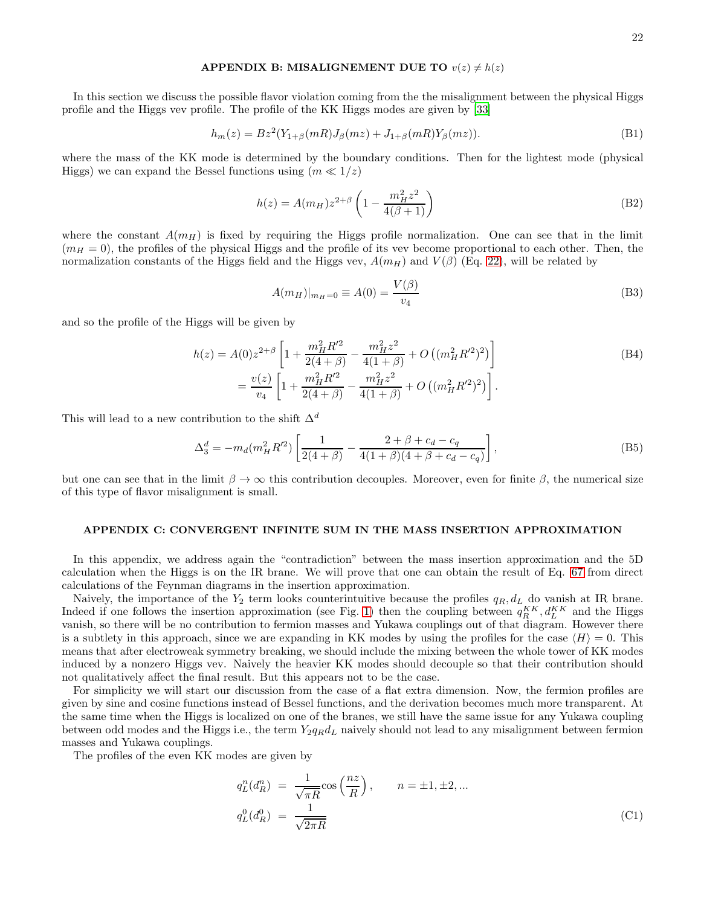#### <span id="page-21-1"></span>APPENDIX B: MISALIGNEMENT DUE TO  $v(z) \neq h(z)$

In this section we discuss the possible flavor violation coming from the the misalignment between the physical Higgs profile and the Higgs vev profile. The profile of the KK Higgs modes are given by [\[33\]](#page-20-12)

<span id="page-21-2"></span>
$$
h_m(z) = Bz^2(Y_{1+\beta}(mR)J_{\beta}(mz) + J_{1+\beta}(mR)Y_{\beta}(mz)).
$$
\n(B1)

where the mass of the KK mode is determined by the boundary conditions. Then for the lightest mode (physical Higgs) we can expand the Bessel functions using  $(m \ll 1/z)$ 

$$
h(z) = A(m_H) z^{2+\beta} \left( 1 - \frac{m_H^2 z^2}{4(\beta + 1)} \right)
$$
 (B2)

where the constant  $A(m_H)$  is fixed by requiring the Higgs profile normalization. One can see that in the limit  $(m_H = 0)$ , the profiles of the physical Higgs and the profile of its vev become proportional to each other. Then, the normalization constants of the Higgs field and the Higgs vev,  $A(m_H)$  and  $V(\beta)$  (Eq. [22\)](#page-4-2), will be related by

$$
A(m_H)|_{m_H=0} \equiv A(0) = \frac{V(\beta)}{v_4}
$$
 (B3)

and so the profile of the Higgs will be given by

$$
h(z) = A(0)z^{2+\beta} \left[ 1 + \frac{m_H^2 R'^2}{2(4+\beta)} - \frac{m_H^2 z^2}{4(1+\beta)} + O\left( (m_H^2 R'^2)^2 \right) \right]
$$
  
=  $\frac{v(z)}{v_4} \left[ 1 + \frac{m_H^2 R'^2}{2(4+\beta)} - \frac{m_H^2 z^2}{4(1+\beta)} + O\left( (m_H^2 R'^2)^2 \right) \right].$  (B4)

This will lead to a new contribution to the shift  $\Delta^d$ 

$$
\Delta_3^d = -m_d(m_H^2 R^2) \left[ \frac{1}{2(4+\beta)} - \frac{2+\beta+c_d-c_q}{4(1+\beta)(4+\beta+c_d-c_q)} \right],
$$
\n(B5)

but one can see that in the limit  $\beta \to \infty$  this contribution decouples. Moreover, even for finite  $\beta$ , the numerical size of this type of flavor misalignment is small.

## <span id="page-21-0"></span>APPENDIX C: CONVERGENT INFINITE SUM IN THE MASS INSERTION APPROXIMATION

In this appendix, we address again the "contradiction" between the mass insertion approximation and the 5D calculation when the Higgs is on the IR brane. We will prove that one can obtain the result of Eq. [67](#page-9-2) from direct calculations of the Feynman diagrams in the insertion approximation.

Naively, the importance of the  $Y_2$  term looks counterintuitive because the profiles  $q_R, d_L$  do vanish at IR brane. Indeed if one follows the insertion approximation (see Fig. [1\)](#page-3-0) then the coupling between  $q_R^{KK}$ ,  $d_L^{KK}$  and the Higgs vanish, so there will be no contribution to fermion masses and Yukawa couplings out of that diagram. However there is a subtlety in this approach, since we are expanding in KK modes by using the profiles for the case  $\langle H \rangle = 0$ . This means that after electroweak symmetry breaking, we should include the mixing between the whole tower of KK modes induced by a nonzero Higgs vev. Naively the heavier KK modes should decouple so that their contribution should not qualitatively affect the final result. But this appears not to be the case.

For simplicity we will start our discussion from the case of a flat extra dimension. Now, the fermion profiles are given by sine and cosine functions instead of Bessel functions, and the derivation becomes much more transparent. At the same time when the Higgs is localized on one of the branes, we still have the same issue for any Yukawa coupling between odd modes and the Higgs i.e., the term  $Y_2q_Rd_L$  naively should not lead to any misalignment between fermion masses and Yukawa couplings.

The profiles of the even KK modes are given by

$$
q_L^n(d_R^n) = \frac{1}{\sqrt{\pi R}} \cos\left(\frac{nz}{R}\right), \qquad n = \pm 1, \pm 2, \dots
$$
  

$$
q_L^0(d_R^0) = \frac{1}{\sqrt{2\pi R}}
$$
 (C1)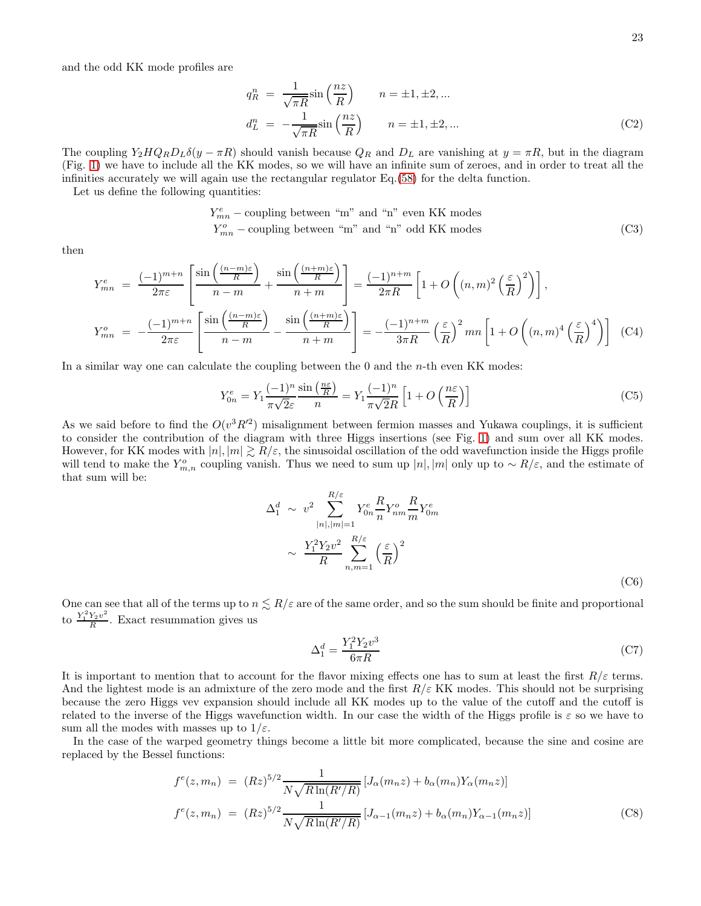and the odd KK mode profiles are

$$
q_R^n = \frac{1}{\sqrt{\pi R}} \sin\left(\frac{nz}{R}\right) \qquad n = \pm 1, \pm 2, \dots
$$
  

$$
d_L^n = -\frac{1}{\sqrt{\pi R}} \sin\left(\frac{nz}{R}\right) \qquad n = \pm 1, \pm 2, \dots
$$
 (C2)

The coupling  $Y_2HQ_RD_L\delta(y-\pi R)$  should vanish because  $Q_R$  and  $D_L$  are vanishing at  $y=\pi R$ , but in the diagram (Fig. [1\)](#page-3-0) we have to include all the KK modes, so we will have an infinite sum of zeroes, and in order to treat all the infinities accurately we will again use the rectangular regulator Eq.[\(58\)](#page-8-2) for the delta function.

Let us define the following quantities:

$$
Y_{mn}^{e} - \text{coupling between "m" and "n" even KK modes}
$$
  

$$
Y_{mn}^{o} - \text{coupling between "m" and "n" odd KK modes}
$$
 (C3)

then

$$
Y_{mn}^{e} = \frac{(-1)^{m+n}}{2\pi\varepsilon} \left[ \frac{\sin\left(\frac{(n-m)\varepsilon}{R}\right)}{n-m} + \frac{\sin\left(\frac{(n+m)\varepsilon}{R}\right)}{n+m} \right] = \frac{(-1)^{n+m}}{2\pi R} \left[ 1 + O\left((n,m)^2 \left(\frac{\varepsilon}{R}\right)^2\right) \right],
$$
  

$$
Y_{mn}^{o} = -\frac{(-1)^{m+n}}{2\pi\varepsilon} \left[ \frac{\sin\left(\frac{(n-m)\varepsilon}{R}\right)}{n-m} - \frac{\sin\left(\frac{(n+m)\varepsilon}{R}\right)}{n+m} \right] = -\frac{(-1)^{n+m}}{3\pi R} \left(\frac{\varepsilon}{R}\right)^2 mn \left[ 1 + O\left((n,m)^4 \left(\frac{\varepsilon}{R}\right)^4\right) \right] \quad (C4)
$$

In a similar way one can calculate the coupling between the  $0$  and the *n*-th even KK modes:

$$
Y_{0n}^e = Y_1 \frac{(-1)^n}{\pi \sqrt{2\varepsilon}} \frac{\sin\left(\frac{n\varepsilon}{R}\right)}{n} = Y_1 \frac{(-1)^n}{\pi \sqrt{2R}} \left[1 + O\left(\frac{n\varepsilon}{R}\right)\right]
$$
(C5)

As we said before to find the  $O(v^3 R'^2)$  misalignment between fermion masses and Yukawa couplings, it is sufficient to consider the contribution of the diagram with three Higgs insertions (see Fig. [1\)](#page-3-0) and sum over all KK modes. However, for KK modes with  $|n|, |m| \geq R/\varepsilon$ , the sinusoidal oscillation of the odd wavefunction inside the Higgs profile will tend to make the  $Y_{m,n}^o$  coupling vanish. Thus we need to sum up  $|n|, |m|$  only up to ~  $R/\varepsilon$ , and the estimate of that sum will be:

$$
\Delta_1^d \sim v^2 \sum_{|n|,|m|=1}^{R/\varepsilon} Y_{0n}^e \frac{R}{n} Y_{nm}^o \frac{R}{m} Y_{0m}^e
$$

$$
\sim \frac{Y_1^2 Y_2 v^2}{R} \sum_{n,m=1}^{R/\varepsilon} \left(\frac{\varepsilon}{R}\right)^2
$$
(C6)

One can see that all of the terms up to  $n \leq R/\varepsilon$  are of the same order, and so the sum should be finite and proportional to  $\frac{Y_1^2 Y_2 v^2}{R}$  $\frac{r_2 v}{R}$ . Exact resummation gives us

$$
\Delta_1^d = \frac{Y_1^2 Y_2 v^3}{6\pi R} \tag{C7}
$$

It is important to mention that to account for the flavor mixing effects one has to sum at least the first  $R/\varepsilon$  terms. And the lightest mode is an admixture of the zero mode and the first  $R/\varepsilon$  KK modes. This should not be surprising because the zero Higgs vev expansion should include all KK modes up to the value of the cutoff and the cutoff is related to the inverse of the Higgs wavefunction width. In our case the width of the Higgs profile is  $\varepsilon$  so we have to sum all the modes with masses up to  $1/\varepsilon$ .

In the case of the warped geometry things become a little bit more complicated, because the sine and cosine are replaced by the Bessel functions:

$$
f^{e}(z, m_{n}) = (Rz)^{5/2} \frac{1}{N\sqrt{R\ln(R'/R)}} [J_{\alpha}(m_{n}z) + b_{\alpha}(m_{n})Y_{\alpha}(m_{n}z)]
$$
  

$$
f^{e}(z, m_{n}) = (Rz)^{5/2} \frac{1}{N\sqrt{R\ln(R'/R)}} [J_{\alpha-1}(m_{n}z) + b_{\alpha}(m_{n})Y_{\alpha-1}(m_{n}z)]
$$
(C8)